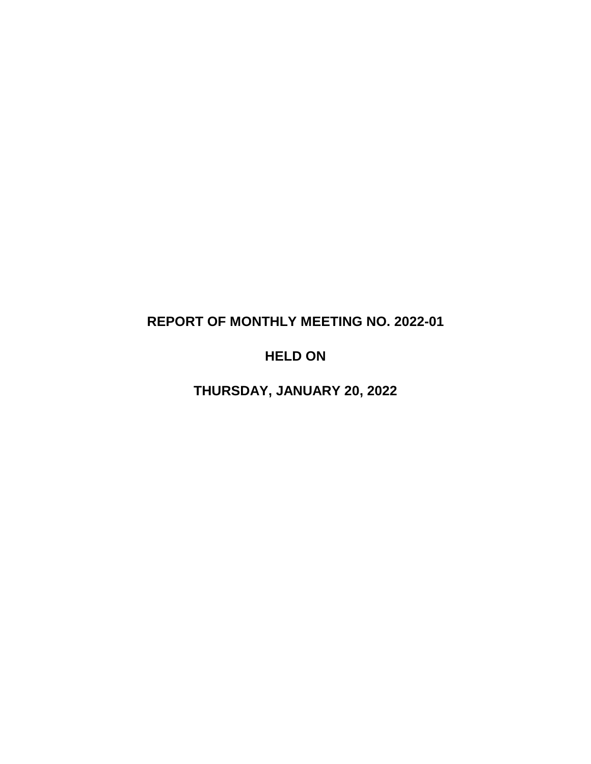# **REPORT OF MONTHLY MEETING NO. 2022-01**

# **HELD ON**

**THURSDAY, JANUARY 20, 2022**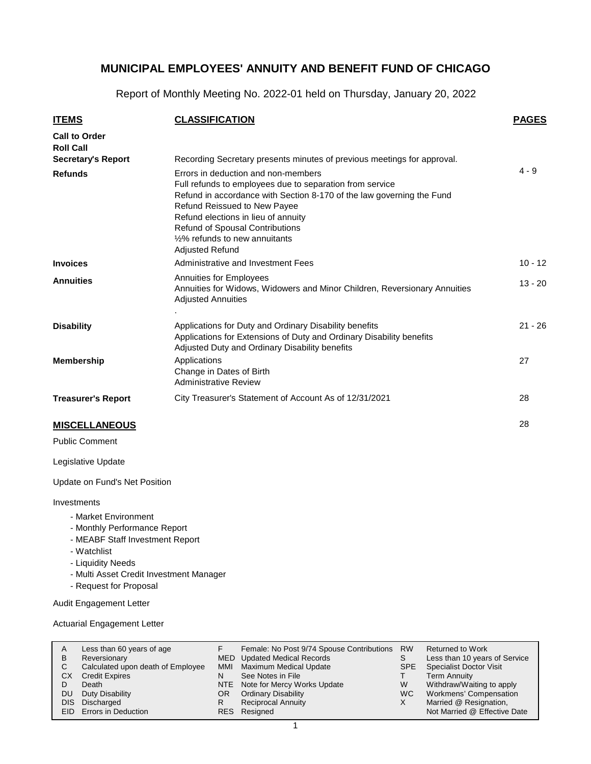Report of Monthly Meeting No. 2022-01 held on Thursday, January 20, 2022

| <b>ITEMS</b>                             | <b>CLASSIFICATION</b>                                                                                                                                                                                                                                                                                                                                        | <b>PAGES</b> |
|------------------------------------------|--------------------------------------------------------------------------------------------------------------------------------------------------------------------------------------------------------------------------------------------------------------------------------------------------------------------------------------------------------------|--------------|
| <b>Call to Order</b><br><b>Roll Call</b> |                                                                                                                                                                                                                                                                                                                                                              |              |
| <b>Secretary's Report</b>                | Recording Secretary presents minutes of previous meetings for approval.                                                                                                                                                                                                                                                                                      |              |
| <b>Refunds</b>                           | Errors in deduction and non-members<br>Full refunds to employees due to separation from service<br>Refund in accordance with Section 8-170 of the law governing the Fund<br><b>Refund Reissued to New Payee</b><br>Refund elections in lieu of annuity<br><b>Refund of Spousal Contributions</b><br>1/2% refunds to new annuitants<br><b>Adjusted Refund</b> | $4 - 9$      |
| <b>Invoices</b>                          | Administrative and Investment Fees                                                                                                                                                                                                                                                                                                                           | $10 - 12$    |
| <b>Annuities</b>                         | Annuities for Employees<br>Annuities for Widows, Widowers and Minor Children, Reversionary Annuities<br><b>Adjusted Annuities</b>                                                                                                                                                                                                                            | $13 - 20$    |
| <b>Disability</b>                        | Applications for Duty and Ordinary Disability benefits<br>Applications for Extensions of Duty and Ordinary Disability benefits<br>Adjusted Duty and Ordinary Disability benefits                                                                                                                                                                             | $21 - 26$    |
| <b>Membership</b>                        | Applications<br>Change in Dates of Birth<br><b>Administrative Review</b>                                                                                                                                                                                                                                                                                     | 27           |
| <b>Treasurer's Report</b>                | City Treasurer's Statement of Account As of 12/31/2021                                                                                                                                                                                                                                                                                                       | 28           |
| <b>MISCELLANEOUS</b>                     |                                                                                                                                                                                                                                                                                                                                                              | 28           |

Public Comment

Legislative Update

Update on Fund's Net Position

#### **Investments**

- Market Environment
- Monthly Performance Report
- MEABF Staff Investment Report
- Watchlist
- Liquidity Needs
- Multi Asset Credit Investment Manager
- Request for Proposal

Audit Engagement Letter

Actuarial Engagement Letter

| A          | Less than 60 years of age         |     | Female: No Post 9/74 Spouse Contributions | <b>RW</b> | <b>Returned to Work</b>        |
|------------|-----------------------------------|-----|-------------------------------------------|-----------|--------------------------------|
| в          | Reversionary                      |     | MED Updated Medical Records               | S         | Less than 10 years of Service  |
| С          | Calculated upon death of Employee | MMI | <b>Maximum Medical Update</b>             | SPE       | <b>Specialist Doctor Visit</b> |
| СX         | <b>Credit Expires</b>             | N   | See Notes in File                         |           | Term Annuity                   |
| D          | Death                             |     | NTE Note for Mercy Works Update           | W         | Withdraw/Waiting to apply      |
| DU         | Duty Disability                   | OR. | <b>Ordinary Disability</b>                | WC.       | Workmens' Compensation         |
| <b>DIS</b> | Discharged                        |     | <b>Reciprocal Annuity</b>                 |           | Married @ Resignation,         |
|            | EID Errors in Deduction           |     | RES Resigned                              |           | Not Married @ Effective Date   |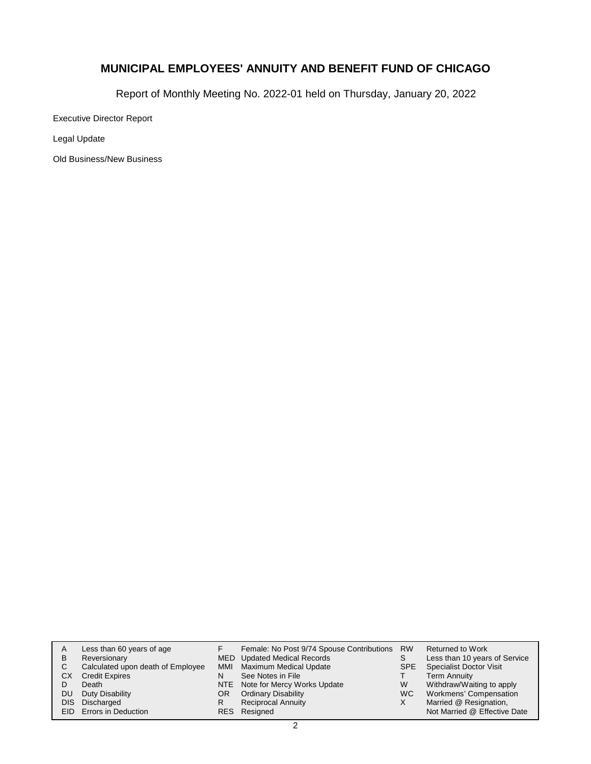Report of Monthly Meeting No. 2022-01 held on Thursday, January 20, 2022

Executive Director Report

Legal Update

Old Business/New Business

| A    | Less than 60 years of age         |     | Female: No Post 9/74 Spouse Contributions RW |            | Returned to Work               |
|------|-----------------------------------|-----|----------------------------------------------|------------|--------------------------------|
| В    | Reversionary                      |     | MED Updated Medical Records                  | S          | Less than 10 years of Service  |
| С    | Calculated upon death of Employee |     | MMI Maximum Medical Update                   | <b>SPE</b> | <b>Specialist Doctor Visit</b> |
| СX   | <b>Credit Expires</b>             | N   | See Notes in File                            |            | <b>Term Annuity</b>            |
|      | Death                             |     | NTE Note for Mercy Works Update              | W          | Withdraw/Waiting to apply      |
| DU   | Duty Disability                   | OR. | <b>Ordinary Disability</b>                   | WC.        | Workmens' Compensation         |
| DIS. | Discharged                        |     | <b>Reciprocal Annuity</b>                    | X          | Married @ Resignation,         |
|      | <b>EID</b> Errors in Deduction    |     | RES Resigned                                 |            | Not Married @ Effective Date   |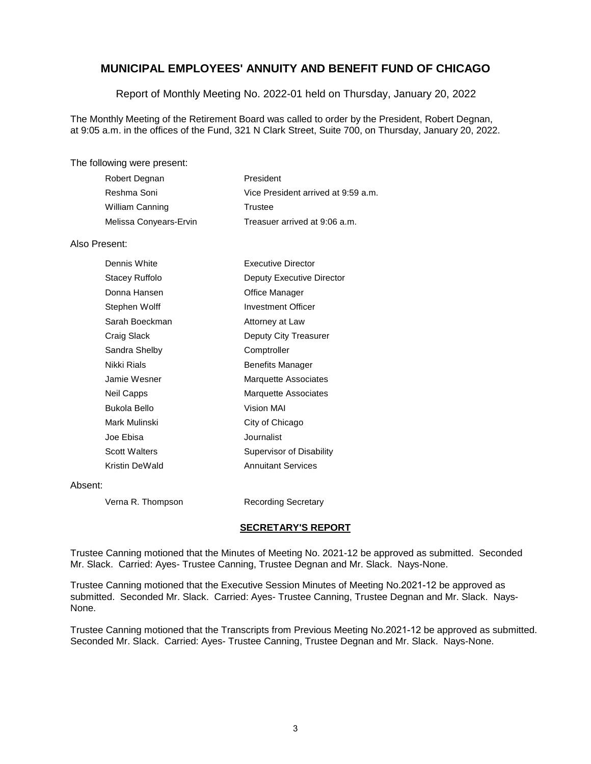Report of Monthly Meeting No. 2022-01 held on Thursday, January 20, 2022

The Monthly Meeting of the Retirement Board was called to order by the President, Robert Degnan, at 9:05 a.m. in the offices of the Fund, 321 N Clark Street, Suite 700, on Thursday, January 20, 2022.

The following were present:

| Robert Degnan          | President                           |
|------------------------|-------------------------------------|
| Reshma Soni            | Vice President arrived at 9.59 a.m. |
| <b>William Canning</b> | Trustee                             |
| Melissa Conyears-Ervin | Treasuer arrived at 9:06 a.m.       |

#### Also Present:

| Dennis White         | <b>Executive Director</b> |
|----------------------|---------------------------|
| Stacey Ruffolo       | Deputy Executive Director |
| Donna Hansen         | Office Manager            |
| Stephen Wolff        | Investment Officer        |
| Sarah Boeckman       | Attorney at Law           |
| Craig Slack          | Deputy City Treasurer     |
| Sandra Shelby        | Comptroller               |
| Nikki Rials          | <b>Benefits Manager</b>   |
| Jamie Wesner         | Marquette Associates      |
| Neil Capps           | Marquette Associates      |
| Bukola Bello         | Vision MAI                |
| Mark Mulinski        | City of Chicago           |
| Joe Ebisa            | Journalist                |
| <b>Scott Walters</b> | Supervisor of Disability  |
| Kristin DeWald       | <b>Annuitant Services</b> |
|                      |                           |

#### Absent:

Verna R. Thompson Recording Secretary

#### **SECRETARY'S REPORT**

Trustee Canning motioned that the Minutes of Meeting No. 2021-12 be approved as submitted. Seconded Mr. Slack. Carried: Ayes- Trustee Canning, Trustee Degnan and Mr. Slack. Nays-None.

Trustee Canning motioned that the Executive Session Minutes of Meeting No.2021-12 be approved as submitted. Seconded Mr. Slack. Carried: Ayes- Trustee Canning, Trustee Degnan and Mr. Slack. Nays-None.

Trustee Canning motioned that the Transcripts from Previous Meeting No.2021-12 be approved as submitted. Seconded Mr. Slack. Carried: Ayes- Trustee Canning, Trustee Degnan and Mr. Slack. Nays-None.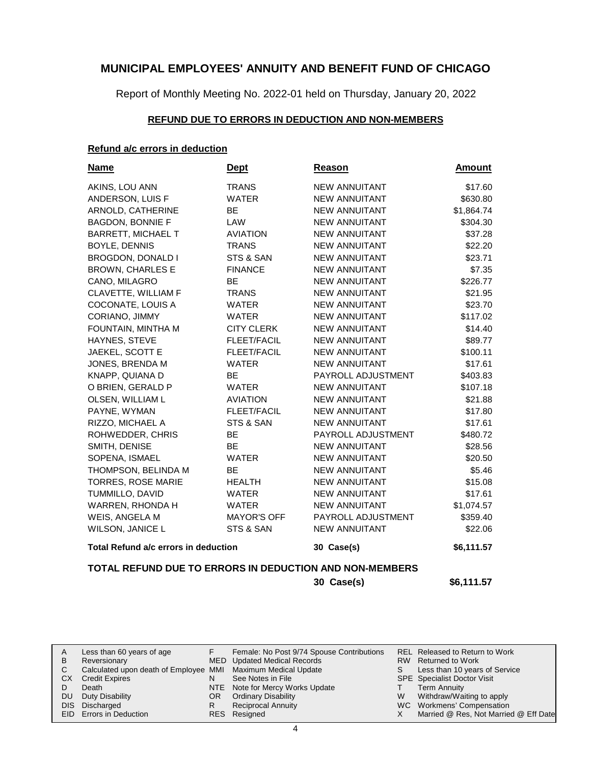Report of Monthly Meeting No. 2022-01 held on Thursday, January 20, 2022

#### **REFUND DUE TO ERRORS IN DEDUCTION AND NON-MEMBERS**

### **Refund a/c errors in deduction**

| <u>Name</u>                          | <b>Dept</b>        | <b>Reason</b>        | <u>Amount</u> |
|--------------------------------------|--------------------|----------------------|---------------|
| AKINS, LOU ANN                       | <b>TRANS</b>       | <b>NEW ANNUITANT</b> | \$17.60       |
| ANDERSON, LUIS F                     | <b>WATER</b>       | <b>NEW ANNUITANT</b> | \$630.80      |
| ARNOLD, CATHERINE                    | <b>BE</b>          | <b>NEW ANNUITANT</b> | \$1,864.74    |
| <b>BAGDON, BONNIE F</b>              | LAW                | <b>NEW ANNUITANT</b> | \$304.30      |
| <b>BARRETT, MICHAEL T</b>            | <b>AVIATION</b>    | <b>NEW ANNUITANT</b> | \$37.28       |
| BOYLE, DENNIS                        | <b>TRANS</b>       | <b>NEW ANNUITANT</b> | \$22.20       |
| BROGDON, DONALD I                    | STS & SAN          | <b>NEW ANNUITANT</b> | \$23.71       |
| <b>BROWN, CHARLES E</b>              | <b>FINANCE</b>     | <b>NEW ANNUITANT</b> | \$7.35        |
| CANO, MILAGRO                        | <b>BE</b>          | <b>NEW ANNUITANT</b> | \$226.77      |
| CLAVETTE, WILLIAM F                  | <b>TRANS</b>       | <b>NEW ANNUITANT</b> | \$21.95       |
| COCONATE, LOUIS A                    | <b>WATER</b>       | <b>NEW ANNUITANT</b> | \$23.70       |
| CORIANO, JIMMY                       | <b>WATER</b>       | <b>NEW ANNUITANT</b> | \$117.02      |
| FOUNTAIN, MINTHA M                   | <b>CITY CLERK</b>  | <b>NEW ANNUITANT</b> | \$14.40       |
| HAYNES, STEVE                        | <b>FLEET/FACIL</b> | <b>NEW ANNUITANT</b> | \$89.77       |
| <b>JAEKEL, SCOTT E</b>               | <b>FLEET/FACIL</b> | <b>NEW ANNUITANT</b> | \$100.11      |
| JONES, BRENDA M                      | <b>WATER</b>       | <b>NEW ANNUITANT</b> | \$17.61       |
| KNAPP, QUIANA D                      | <b>BE</b>          | PAYROLL ADJUSTMENT   | \$403.83      |
| O BRIEN, GERALD P                    | <b>WATER</b>       | <b>NEW ANNUITANT</b> | \$107.18      |
| OLSEN, WILLIAM L                     | <b>AVIATION</b>    | <b>NEW ANNUITANT</b> | \$21.88       |
| PAYNE, WYMAN                         | <b>FLEET/FACIL</b> | <b>NEW ANNUITANT</b> | \$17.80       |
| RIZZO, MICHAEL A                     | STS & SAN          | <b>NEW ANNUITANT</b> | \$17.61       |
| ROHWEDDER, CHRIS                     | <b>BE</b>          | PAYROLL ADJUSTMENT   | \$480.72      |
| SMITH, DENISE                        | <b>BE</b>          | <b>NEW ANNUITANT</b> | \$28.56       |
| SOPENA, ISMAEL                       | <b>WATER</b>       | <b>NEW ANNUITANT</b> | \$20.50       |
| THOMPSON, BELINDA M                  | <b>BE</b>          | <b>NEW ANNUITANT</b> | \$5.46        |
| TORRES, ROSE MARIE                   | <b>HEALTH</b>      | <b>NEW ANNUITANT</b> | \$15.08       |
| TUMMILLO, DAVID                      | <b>WATER</b>       | <b>NEW ANNUITANT</b> | \$17.61       |
| WARREN, RHONDA H                     | <b>WATER</b>       | <b>NEW ANNUITANT</b> | \$1,074.57    |
| WEIS, ANGELA M                       | <b>MAYOR'S OFF</b> | PAYROLL ADJUSTMENT   | \$359.40      |
| WILSON, JANICE L                     | STS & SAN          | <b>NEW ANNUITANT</b> | \$22.06       |
| Total Refund a/c errors in deduction |                    | 30 Case(s)           | \$6,111.57    |

### **TOTAL REFUND DUE TO ERRORS IN DEDUCTION AND NON-MEMBERS**

**30 Case(s) \$6,111.57**

|     | Less than 60 years of age                                    |     | Female: No Post 9/74 Spouse Contributions |   | REL Released to Return to Work        |
|-----|--------------------------------------------------------------|-----|-------------------------------------------|---|---------------------------------------|
| В   | Reversionary                                                 |     | MED Updated Medical Records               |   | RW Returned to Work                   |
|     | Calculated upon death of Employee MMI Maximum Medical Update |     |                                           |   | Less than 10 years of Service         |
| CХ  | <b>Credit Expires</b>                                        |     | See Notes in File                         |   | <b>SPE</b> Specialist Doctor Visit    |
|     | Death                                                        |     | NTE Note for Mercy Works Update           |   | Term Annuity                          |
| DU. | Duty Disability                                              | OR. | <b>Ordinary Disability</b>                | w | Withdraw/Waiting to apply             |
|     | DIS Discharged                                               |     | <b>Reciprocal Annuity</b>                 |   | WC Workmens' Compensation             |
|     | <b>EID</b> Errors in Deduction                               |     | RES Resigned                              |   | Married @ Res, Not Married @ Eff Date |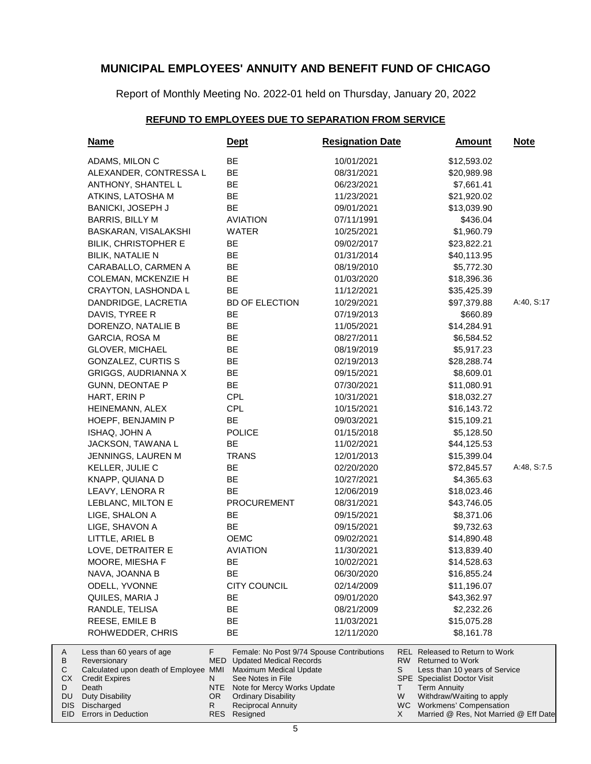Report of Monthly Meeting No. 2022-01 held on Thursday, January 20, 2022

# **REFUND TO EMPLOYEES DUE TO SEPARATION FROM SERVICE**

| <b>Name</b>                                                                                                                                                  |                                           | <u>Dept</u>                                                                                                                                                                                                          | <b>Resignation Date</b> |                           | <u>Amount</u>                                                                                                                                                                                                         | <u>Note</u> |
|--------------------------------------------------------------------------------------------------------------------------------------------------------------|-------------------------------------------|----------------------------------------------------------------------------------------------------------------------------------------------------------------------------------------------------------------------|-------------------------|---------------------------|-----------------------------------------------------------------------------------------------------------------------------------------------------------------------------------------------------------------------|-------------|
| ADAMS, MILON C                                                                                                                                               |                                           | <b>BE</b>                                                                                                                                                                                                            | 10/01/2021              |                           | \$12,593.02                                                                                                                                                                                                           |             |
| ALEXANDER, CONTRESSA L                                                                                                                                       |                                           | <b>BE</b>                                                                                                                                                                                                            | 08/31/2021              |                           | \$20,989.98                                                                                                                                                                                                           |             |
| ANTHONY, SHANTEL L                                                                                                                                           |                                           | <b>BE</b>                                                                                                                                                                                                            | 06/23/2021              |                           | \$7,661.41                                                                                                                                                                                                            |             |
| ATKINS, LATOSHA M                                                                                                                                            |                                           | <b>BE</b>                                                                                                                                                                                                            | 11/23/2021              |                           | \$21,920.02                                                                                                                                                                                                           |             |
| BANICKI, JOSEPH J                                                                                                                                            |                                           | <b>BE</b>                                                                                                                                                                                                            | 09/01/2021              |                           | \$13,039.90                                                                                                                                                                                                           |             |
| <b>BARRIS, BILLY M</b>                                                                                                                                       |                                           | <b>AVIATION</b>                                                                                                                                                                                                      | 07/11/1991              |                           | \$436.04                                                                                                                                                                                                              |             |
| BASKARAN, VISALAKSHI                                                                                                                                         |                                           | WATER                                                                                                                                                                                                                | 10/25/2021              |                           | \$1,960.79                                                                                                                                                                                                            |             |
| <b>BILIK, CHRISTOPHER E</b>                                                                                                                                  |                                           | BE                                                                                                                                                                                                                   | 09/02/2017              |                           | \$23,822.21                                                                                                                                                                                                           |             |
| <b>BILIK, NATALIE N</b>                                                                                                                                      |                                           | <b>BE</b>                                                                                                                                                                                                            | 01/31/2014              |                           | \$40,113.95                                                                                                                                                                                                           |             |
| CARABALLO, CARMEN A                                                                                                                                          |                                           | BE                                                                                                                                                                                                                   | 08/19/2010              |                           | \$5,772.30                                                                                                                                                                                                            |             |
| <b>COLEMAN, MCKENZIE H</b>                                                                                                                                   |                                           | <b>BE</b>                                                                                                                                                                                                            | 01/03/2020              |                           | \$18,396.36                                                                                                                                                                                                           |             |
| <b>CRAYTON, LASHONDA L</b>                                                                                                                                   |                                           | BE                                                                                                                                                                                                                   | 11/12/2021              |                           | \$35,425.39                                                                                                                                                                                                           |             |
| DANDRIDGE, LACRETIA                                                                                                                                          |                                           | <b>BD OF ELECTION</b>                                                                                                                                                                                                | 10/29/2021              |                           | \$97,379.88                                                                                                                                                                                                           | A:40, S:17  |
| DAVIS, TYREE R                                                                                                                                               |                                           | BE                                                                                                                                                                                                                   | 07/19/2013              |                           | \$660.89                                                                                                                                                                                                              |             |
| DORENZO, NATALIE B                                                                                                                                           |                                           | <b>BE</b>                                                                                                                                                                                                            | 11/05/2021              |                           | \$14,284.91                                                                                                                                                                                                           |             |
| GARCIA, ROSA M                                                                                                                                               |                                           | <b>BE</b>                                                                                                                                                                                                            | 08/27/2011              |                           | \$6,584.52                                                                                                                                                                                                            |             |
| <b>GLOVER, MICHAEL</b>                                                                                                                                       |                                           | <b>BE</b>                                                                                                                                                                                                            | 08/19/2019              |                           | \$5,917.23                                                                                                                                                                                                            |             |
| <b>GONZALEZ, CURTIS S</b>                                                                                                                                    |                                           | BE                                                                                                                                                                                                                   | 02/19/2013              |                           | \$28,288.74                                                                                                                                                                                                           |             |
| <b>GRIGGS, AUDRIANNA X</b>                                                                                                                                   |                                           | BE                                                                                                                                                                                                                   | 09/15/2021              |                           | \$8,609.01                                                                                                                                                                                                            |             |
| <b>GUNN, DEONTAE P</b>                                                                                                                                       |                                           | BE                                                                                                                                                                                                                   | 07/30/2021              |                           | \$11,080.91                                                                                                                                                                                                           |             |
| HART, ERIN P                                                                                                                                                 |                                           | CPL                                                                                                                                                                                                                  | 10/31/2021              |                           | \$18,032.27                                                                                                                                                                                                           |             |
| HEINEMANN, ALEX                                                                                                                                              |                                           | <b>CPL</b>                                                                                                                                                                                                           | 10/15/2021              |                           | \$16,143.72                                                                                                                                                                                                           |             |
| HOEPF, BENJAMIN P                                                                                                                                            |                                           | <b>BE</b>                                                                                                                                                                                                            | 09/03/2021              |                           | \$15,109.21                                                                                                                                                                                                           |             |
| ISHAQ, JOHN A                                                                                                                                                |                                           | <b>POLICE</b>                                                                                                                                                                                                        | 01/15/2018              |                           | \$5,128.50                                                                                                                                                                                                            |             |
| JACKSON, TAWANA L                                                                                                                                            |                                           | BE                                                                                                                                                                                                                   | 11/02/2021              |                           | \$44,125.53                                                                                                                                                                                                           |             |
| JENNINGS, LAUREN M                                                                                                                                           |                                           | <b>TRANS</b>                                                                                                                                                                                                         | 12/01/2013              |                           | \$15,399.04                                                                                                                                                                                                           |             |
| KELLER, JULIE C                                                                                                                                              |                                           | BE                                                                                                                                                                                                                   | 02/20/2020              |                           | \$72,845.57                                                                                                                                                                                                           | A:48, S:7.5 |
| KNAPP, QUIANA D                                                                                                                                              |                                           | <b>BE</b>                                                                                                                                                                                                            | 10/27/2021              |                           | \$4,365.63                                                                                                                                                                                                            |             |
| LEAVY, LENORA R                                                                                                                                              |                                           | <b>BE</b>                                                                                                                                                                                                            | 12/06/2019              |                           | \$18,023.46                                                                                                                                                                                                           |             |
| LEBLANC, MILTON E                                                                                                                                            |                                           | <b>PROCUREMENT</b>                                                                                                                                                                                                   | 08/31/2021              |                           | \$43,746.05                                                                                                                                                                                                           |             |
| LIGE, SHALON A                                                                                                                                               |                                           | BE                                                                                                                                                                                                                   | 09/15/2021              |                           | \$8,371.06                                                                                                                                                                                                            |             |
| LIGE, SHAVON A                                                                                                                                               |                                           | <b>BE</b>                                                                                                                                                                                                            | 09/15/2021              |                           | \$9,732.63                                                                                                                                                                                                            |             |
| LITTLE, ARIEL B                                                                                                                                              |                                           | <b>OEMC</b>                                                                                                                                                                                                          | 09/02/2021              |                           | \$14,890.48                                                                                                                                                                                                           |             |
| LOVE, DETRAITER E                                                                                                                                            |                                           | <b>AVIATION</b>                                                                                                                                                                                                      | 11/30/2021              |                           | \$13,839.40                                                                                                                                                                                                           |             |
| MOORE, MIESHA F                                                                                                                                              |                                           | BE                                                                                                                                                                                                                   | 10/02/2021              |                           | \$14,528.63                                                                                                                                                                                                           |             |
| NAVA, JOANNA B                                                                                                                                               |                                           | BE                                                                                                                                                                                                                   | 06/30/2020              |                           | \$16,855.24                                                                                                                                                                                                           |             |
| ODELL, YVONNE                                                                                                                                                |                                           | <b>CITY COUNCIL</b>                                                                                                                                                                                                  | 02/14/2009              |                           | \$11,196.07                                                                                                                                                                                                           |             |
| QUILES, MARIA J                                                                                                                                              |                                           | ВE                                                                                                                                                                                                                   | 09/01/2020              |                           | \$43,362.97                                                                                                                                                                                                           |             |
| RANDLE, TELISA                                                                                                                                               |                                           | BE                                                                                                                                                                                                                   | 08/21/2009              |                           | \$2,232.26                                                                                                                                                                                                            |             |
| REESE, EMILE B                                                                                                                                               |                                           | BE                                                                                                                                                                                                                   | 11/03/2021              |                           | \$15,075.28                                                                                                                                                                                                           |             |
| ROHWEDDER, CHRIS                                                                                                                                             |                                           | <b>BE</b>                                                                                                                                                                                                            | 12/11/2020              |                           | \$8,161.78                                                                                                                                                                                                            |             |
| Less than 60 years of age<br>Reversionary<br>Calculated upon death of Employee MMI<br><b>Credit Expires</b><br>Death<br><b>Duty Disability</b><br>Discharged | F.<br>MED<br>N<br><b>NTE</b><br>OR.<br>R. | Female: No Post 9/74 Spouse Contributions<br><b>Updated Medical Records</b><br>Maximum Medical Update<br>See Notes in File<br>Note for Mercy Works Update<br><b>Ordinary Disability</b><br><b>Reciprocal Annuity</b> |                         | RW<br>S<br>T.<br>W<br>WC. | <b>REL Released to Return to Work</b><br><b>Returned to Work</b><br>Less than 10 years of Service<br><b>SPE</b> Specialist Doctor Visit<br><b>Term Annuity</b><br>Withdraw/Waiting to apply<br>Workmens' Compensation |             |
| Errors in Deduction                                                                                                                                          |                                           | RES Resigned                                                                                                                                                                                                         |                         | X                         | Married @ Res, Not Married @ Eff Date                                                                                                                                                                                 |             |

A B C CX D DU DIS EID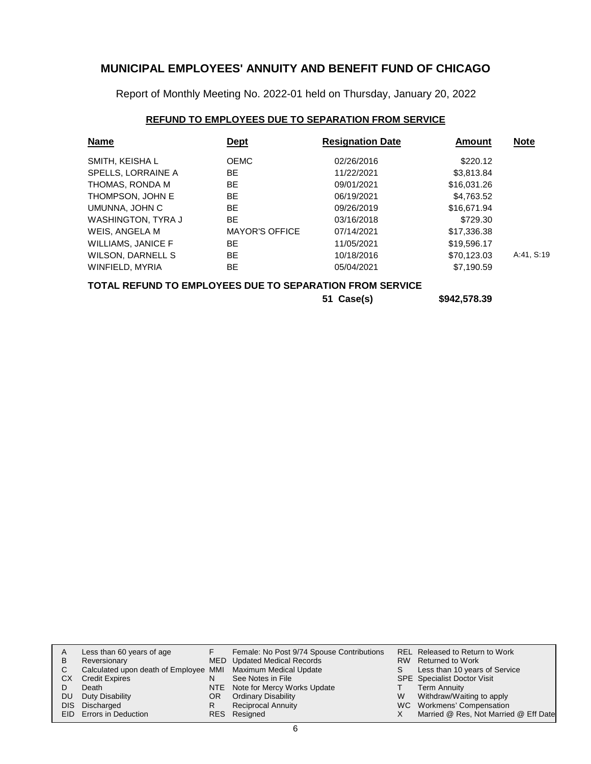Report of Monthly Meeting No. 2022-01 held on Thursday, January 20, 2022

### **REFUND TO EMPLOYEES DUE TO SEPARATION FROM SERVICE**

| <b>Name</b>               | <b>Dept</b>           | <b>Resignation Date</b> | <b>Amount</b> | <b>Note</b> |
|---------------------------|-----------------------|-------------------------|---------------|-------------|
| SMITH, KEISHA L           | <b>OEMC</b>           | 02/26/2016              | \$220.12      |             |
| SPELLS, LORRAINE A        | <b>BE</b>             | 11/22/2021              | \$3,813.84    |             |
| THOMAS, RONDA M           | <b>BE</b>             | 09/01/2021              | \$16,031.26   |             |
| THOMPSON, JOHN E          | <b>BE</b>             | 06/19/2021              | \$4,763.52    |             |
| UMUNNA, JOHN C            | <b>BE</b>             | 09/26/2019              | \$16,671.94   |             |
| WASHINGTON, TYRA J        | <b>BE</b>             | 03/16/2018              | \$729.30      |             |
| WEIS, ANGELA M            | <b>MAYOR'S OFFICE</b> | 07/14/2021              | \$17,336.38   |             |
| <b>WILLIAMS, JANICE F</b> | BE                    | 11/05/2021              | \$19,596.17   |             |
| WILSON, DARNELL S         | <b>BE</b>             | 10/18/2016              | \$70.123.03   | A:41, S:19  |
| WINFIELD, MYRIA           | <b>BE</b>             | 05/04/2021              | \$7,190.59    |             |

### **TOTAL REFUND TO EMPLOYEES DUE TO SEPARATION FROM SERVICE**

**51 Case(s) \$942,578.39**

| A   | Less than 60 years of age                                    |     | Female: No Post 9/74 Spouse Contributions |   | REL Released to Return to Work        |
|-----|--------------------------------------------------------------|-----|-------------------------------------------|---|---------------------------------------|
| B   | Reversionary                                                 |     | MED Updated Medical Records               |   | RW Returned to Work                   |
|     | Calculated upon death of Employee MMI Maximum Medical Update |     |                                           |   | Less than 10 years of Service         |
| СX  | <b>Credit Expires</b>                                        |     | See Notes in File                         |   | <b>SPE</b> Specialist Doctor Visit    |
|     | Death                                                        |     | NTE Note for Mercy Works Update           |   | Term Annuity                          |
| DU. | Duty Disability                                              | OR. | <b>Ordinary Disability</b>                | W | Withdraw/Waiting to apply             |
|     | DIS Discharged                                               |     | <b>Reciprocal Annuity</b>                 |   | WC Workmens' Compensation             |
|     | EID Errors in Deduction                                      |     | RES Resigned                              |   | Married @ Res, Not Married @ Eff Date |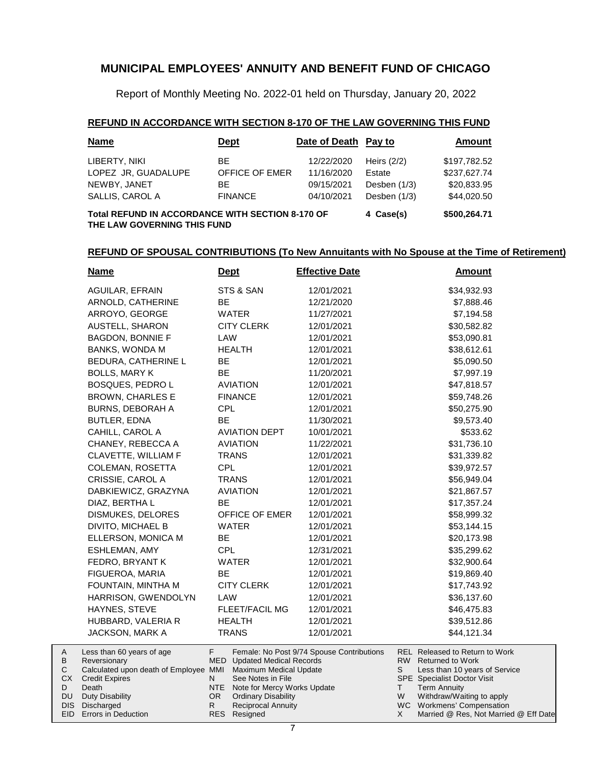Report of Monthly Meeting No. 2022-01 held on Thursday, January 20, 2022

#### **REFUND IN ACCORDANCE WITH SECTION 8-170 OF THE LAW GOVERNING THIS FUND**

| <b>Name</b>                                                                                                         | <u>Dept</u>    | Date of Death Pay to |                | Amount       |  |  |  |
|---------------------------------------------------------------------------------------------------------------------|----------------|----------------------|----------------|--------------|--|--|--|
| LIBERTY, NIKI                                                                                                       | BE.            | 12/22/2020           | Heirs $(2/2)$  | \$197,782.52 |  |  |  |
| LOPEZ JR, GUADALUPE                                                                                                 | OFFICE OF EMER | 11/16/2020           | Estate         | \$237,627.74 |  |  |  |
| NEWBY, JANET                                                                                                        | BE.            | 09/15/2021           | Desben $(1/3)$ | \$20.833.95  |  |  |  |
| SALLIS, CAROL A                                                                                                     | <b>FINANCE</b> | 04/10/2021           | Desben (1/3)   | \$44.020.50  |  |  |  |
| <b>Total REFUND IN ACCORDANCE WITH SECTION 8-170 OF</b><br>\$500,264.71<br>4 Case(s)<br>THE LAW GOVERNING THIS FUND |                |                      |                |              |  |  |  |

### **REFUND OF SPOUSAL CONTRIBUTIONS (To New Annuitants with No Spouse at the Time of Retirement)**

| <b>Name</b>                                                                                                                        | <u>Dept</u>                                                                  | <b>Effective Date</b>                     | <b>Amount</b>                                                                                                                             |
|------------------------------------------------------------------------------------------------------------------------------------|------------------------------------------------------------------------------|-------------------------------------------|-------------------------------------------------------------------------------------------------------------------------------------------|
| <b>AGUILAR, EFRAIN</b>                                                                                                             | STS & SAN                                                                    | 12/01/2021                                | \$34,932.93                                                                                                                               |
| ARNOLD, CATHERINE                                                                                                                  | <b>BE</b>                                                                    | 12/21/2020                                | \$7,888.46                                                                                                                                |
| ARROYO, GEORGE                                                                                                                     | <b>WATER</b>                                                                 | 11/27/2021                                | \$7,194.58                                                                                                                                |
| <b>AUSTELL, SHARON</b>                                                                                                             | <b>CITY CLERK</b>                                                            | 12/01/2021                                | \$30,582.82                                                                                                                               |
| <b>BAGDON, BONNIE F</b>                                                                                                            | LAW                                                                          | 12/01/2021                                | \$53,090.81                                                                                                                               |
| BANKS, WONDA M                                                                                                                     | <b>HEALTH</b>                                                                | 12/01/2021                                | \$38,612.61                                                                                                                               |
| BEDURA, CATHERINE L                                                                                                                | <b>BE</b>                                                                    | 12/01/2021                                | \$5,090.50                                                                                                                                |
| <b>BOLLS, MARY K</b>                                                                                                               | <b>BE</b>                                                                    | 11/20/2021                                | \$7,997.19                                                                                                                                |
| BOSQUES, PEDRO L                                                                                                                   | <b>AVIATION</b>                                                              | 12/01/2021                                | \$47,818.57                                                                                                                               |
| <b>BROWN, CHARLES E</b>                                                                                                            | <b>FINANCE</b>                                                               | 12/01/2021                                | \$59,748.26                                                                                                                               |
| <b>BURNS, DEBORAH A</b>                                                                                                            | <b>CPL</b>                                                                   | 12/01/2021                                | \$50,275.90                                                                                                                               |
| BUTLER, EDNA                                                                                                                       | <b>BE</b>                                                                    | 11/30/2021                                | \$9,573.40                                                                                                                                |
| CAHILL, CAROL A                                                                                                                    | <b>AVIATION DEPT</b>                                                         | 10/01/2021                                | \$533.62                                                                                                                                  |
| CHANEY, REBECCA A                                                                                                                  | <b>AVIATION</b>                                                              | 11/22/2021                                | \$31,736.10                                                                                                                               |
| <b>CLAVETTE, WILLIAM F</b>                                                                                                         | <b>TRANS</b>                                                                 | 12/01/2021                                | \$31,339.82                                                                                                                               |
| COLEMAN, ROSETTA                                                                                                                   | <b>CPL</b>                                                                   | 12/01/2021                                | \$39,972.57                                                                                                                               |
| CRISSIE, CAROL A                                                                                                                   | <b>TRANS</b>                                                                 | 12/01/2021                                | \$56,949.04                                                                                                                               |
| DABKIEWICZ, GRAZYNA                                                                                                                | <b>AVIATION</b>                                                              | 12/01/2021                                | \$21,867.57                                                                                                                               |
| DIAZ, BERTHA L                                                                                                                     | <b>BE</b>                                                                    | 12/01/2021                                | \$17,357.24                                                                                                                               |
| DISMUKES, DELORES                                                                                                                  | OFFICE OF EMER                                                               | 12/01/2021                                | \$58,999.32                                                                                                                               |
| <b>DIVITO, MICHAEL B</b>                                                                                                           | <b>WATER</b>                                                                 | 12/01/2021                                | \$53,144.15                                                                                                                               |
| ELLERSON, MONICA M                                                                                                                 | <b>BE</b>                                                                    | 12/01/2021                                | \$20,173.98                                                                                                                               |
| ESHLEMAN, AMY                                                                                                                      | <b>CPL</b>                                                                   | 12/31/2021                                | \$35,299.62                                                                                                                               |
| FEDRO, BRYANT K                                                                                                                    | <b>WATER</b>                                                                 | 12/01/2021                                | \$32,900.64                                                                                                                               |
| FIGUEROA, MARIA                                                                                                                    | <b>BE</b>                                                                    | 12/01/2021                                | \$19,869.40                                                                                                                               |
| FOUNTAIN, MINTHA M                                                                                                                 | <b>CITY CLERK</b>                                                            | 12/01/2021                                | \$17,743.92                                                                                                                               |
| HARRISON, GWENDOLYN                                                                                                                | LAW                                                                          | 12/01/2021                                | \$36,137.60                                                                                                                               |
| HAYNES, STEVE                                                                                                                      | <b>FLEET/FACIL MG</b>                                                        | 12/01/2021                                | \$46,475.83                                                                                                                               |
| HUBBARD, VALERIA R                                                                                                                 | <b>HEALTH</b>                                                                | 12/01/2021                                | \$39,512.86                                                                                                                               |
| JACKSON, MARK A                                                                                                                    | <b>TRANS</b>                                                                 | 12/01/2021                                | \$44,121.34                                                                                                                               |
| Less than 60 years of age<br>Reversionary<br>$O = 1$ and $= 1$ and $=$<br>$\Delta$ and $\Delta$ and $\Delta$ $\Gamma$ and $\Delta$ | F.<br><b>MED</b> Updated Medical Records<br><b>MANAL</b> Marriage Madisables | Female: No Post 9/74 Spouse Contributions | <b>REL Released to Return to Work</b><br>RW Returned to Work<br>$\sim$<br>$\sim$ $\sim$ $\sim$ $\sim$ $\sim$ $\sim$ $\sim$<br>$1 - 2 - 1$ |

| $\overline{A}$<br><sub>B</sub> | Less than 60 years of age<br>Reversionary                    |     | Female: No Post 9/74 Spouse Contributions<br>MED Updated Medical Records |   | REL Released to Return to Work<br>RW Returned to Work |
|--------------------------------|--------------------------------------------------------------|-----|--------------------------------------------------------------------------|---|-------------------------------------------------------|
|                                | Calculated upon death of Employee MMI Maximum Medical Update |     |                                                                          |   | Less than 10 years of Service                         |
| CX.                            | <b>Credit Expires</b>                                        |     | See Notes in File                                                        |   | <b>SPE</b> Specialist Doctor Visit                    |
|                                | Death                                                        |     | NTE Note for Mercy Works Update                                          |   | Term Annuity                                          |
| DU.                            | Duty Disability                                              | OR. | <b>Ordinary Disability</b>                                               | w | Withdraw/Waiting to apply                             |
|                                | DIS Discharged                                               |     | Reciprocal Annuity                                                       |   | WC Workmens' Compensation                             |
|                                | EID Errors in Deduction                                      |     | RES Resigned                                                             |   | Married @ Res, Not Married @ Eff Date                 |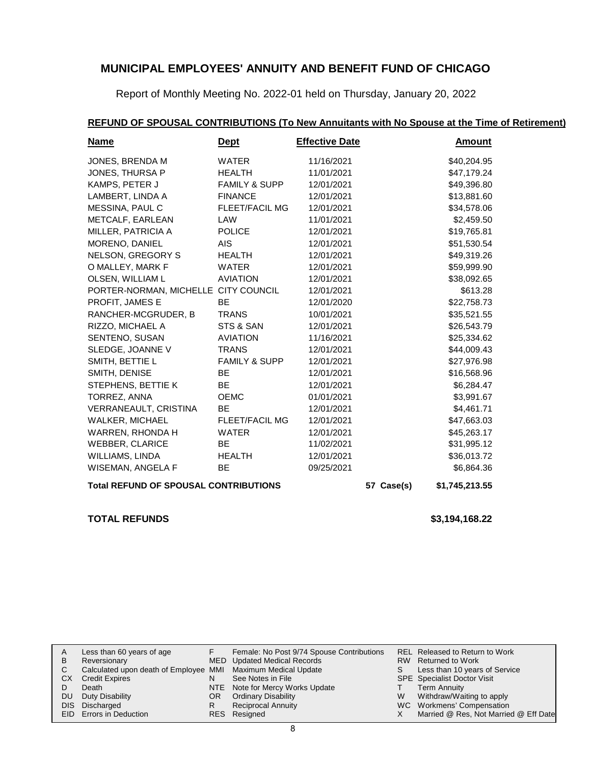Report of Monthly Meeting No. 2022-01 held on Thursday, January 20, 2022

### **REFUND OF SPOUSAL CONTRIBUTIONS (To New Annuitants with No Spouse at the Time of Retirement)**

| <u>Name</u>                                  | <b>Dept</b>              | <b>Effective Date</b> |            | <u>Amount</u>  |
|----------------------------------------------|--------------------------|-----------------------|------------|----------------|
| JONES, BRENDA M                              | WATER                    | 11/16/2021            |            | \$40,204.95    |
| JONES, THURSA P                              | <b>HEALTH</b>            | 11/01/2021            |            | \$47,179.24    |
| KAMPS, PETER J                               | <b>FAMILY &amp; SUPP</b> | 12/01/2021            |            | \$49,396.80    |
| LAMBERT, LINDA A                             | <b>FINANCE</b>           | 12/01/2021            |            | \$13,881.60    |
| MESSINA, PAUL C                              | <b>FLEET/FACIL MG</b>    | 12/01/2021            |            | \$34,578.06    |
| METCALF, EARLEAN                             | LAW                      | 11/01/2021            |            | \$2,459.50     |
| MILLER, PATRICIA A                           | <b>POLICE</b>            | 12/01/2021            |            | \$19,765.81    |
| MORENO, DANIEL                               | AIS.                     | 12/01/2021            |            | \$51,530.54    |
| NELSON, GREGORY S                            | <b>HEALTH</b>            | 12/01/2021            |            | \$49,319.26    |
| O MALLEY, MARK F                             | WATER                    | 12/01/2021            |            | \$59,999.90    |
| OLSEN, WILLIAM L                             | <b>AVIATION</b>          | 12/01/2021            |            | \$38,092.65    |
| PORTER-NORMAN, MICHELLE CITY COUNCIL         |                          | 12/01/2021            |            | \$613.28       |
| PROFIT, JAMES E                              | <b>BE</b>                | 12/01/2020            |            | \$22,758.73    |
| RANCHER-MCGRUDER, B                          | <b>TRANS</b>             | 10/01/2021            |            | \$35,521.55    |
| RIZZO, MICHAEL A                             | STS & SAN                | 12/01/2021            |            | \$26,543.79    |
| SENTENO, SUSAN                               | <b>AVIATION</b>          | 11/16/2021            |            | \$25,334.62    |
| SLEDGE, JOANNE V                             | <b>TRANS</b>             | 12/01/2021            |            | \$44,009.43    |
| SMITH, BETTIE L                              | <b>FAMILY &amp; SUPP</b> | 12/01/2021            |            | \$27,976.98    |
| SMITH, DENISE                                | <b>BE</b>                | 12/01/2021            |            | \$16,568.96    |
| STEPHENS, BETTIE K                           | BE.                      | 12/01/2021            |            | \$6,284.47     |
| TORREZ, ANNA                                 | <b>OEMC</b>              | 01/01/2021            |            | \$3,991.67     |
| VERRANEAULT, CRISTINA                        | <b>BE</b>                | 12/01/2021            |            | \$4,461.71     |
| WALKER, MICHAEL                              | <b>FLEET/FACIL MG</b>    | 12/01/2021            |            | \$47,663.03    |
| WARREN, RHONDA H                             | <b>WATER</b>             | 12/01/2021            |            | \$45,263.17    |
| <b>WEBBER, CLARICE</b>                       | <b>BE</b>                | 11/02/2021            |            | \$31,995.12    |
| WILLIAMS, LINDA                              | <b>HEALTH</b>            | 12/01/2021            |            | \$36,013.72    |
| WISEMAN, ANGELA F                            | BE.                      | 09/25/2021            |            | \$6,864.36     |
| <b>Total REFUND OF SPOUSAL CONTRIBUTIONS</b> |                          |                       | 57 Case(s) | \$1,745,213.55 |

#### **TOTAL REFUNDS \$3,194,168.22**

|              | Less than 60 years of age                                    |     | Female: No Post 9/74 Spouse Contributions |   | REL Released to Return to Work        |
|--------------|--------------------------------------------------------------|-----|-------------------------------------------|---|---------------------------------------|
| <sub>B</sub> | Reversionary                                                 |     | MED Updated Medical Records               |   | RW Returned to Work                   |
|              | Calculated upon death of Employee MMI Maximum Medical Update |     |                                           |   | Less than 10 years of Service         |
| СX           | <b>Credit Expires</b>                                        |     | See Notes in File                         |   | SPE Specialist Doctor Visit           |
|              | Death                                                        |     | NTE Note for Mercy Works Update           |   | <b>Term Annuity</b>                   |
| DU           | Duty Disability                                              | OR. | <b>Ordinary Disability</b>                | w | Withdraw/Waiting to apply             |
|              | DIS Discharged                                               |     | <b>Reciprocal Annuity</b>                 |   | WC Workmens' Compensation             |
|              | EID Errors in Deduction                                      |     | RES Resigned                              |   | Married @ Res, Not Married @ Eff Date |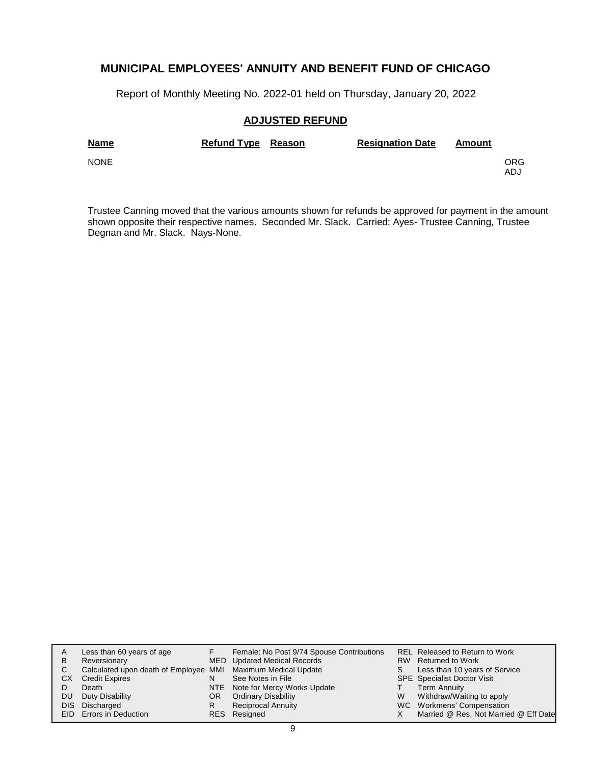Report of Monthly Meeting No. 2022-01 held on Thursday, January 20, 2022

#### **ADJUSTED REFUND**

| <b>Name</b> | Refund Type Reason | <b>Resignation Date</b> | Amount |            |
|-------------|--------------------|-------------------------|--------|------------|
| <b>NONE</b> |                    |                         |        | ORG<br>ADJ |

Trustee Canning moved that the various amounts shown for refunds be approved for payment in the amount shown opposite their respective names. Seconded Mr. Slack. Carried: Ayes- Trustee Canning, Trustee Degnan and Mr. Slack. Nays-None.

|     | Less than 60 years of age                                    |     | Female: No Post 9/74 Spouse Contributions |   | REL Released to Return to Work        |
|-----|--------------------------------------------------------------|-----|-------------------------------------------|---|---------------------------------------|
| В   | Reversionary                                                 |     | MED Updated Medical Records               |   | RW Returned to Work                   |
| С   | Calculated upon death of Employee MMI Maximum Medical Update |     |                                           |   | Less than 10 years of Service         |
| CХ  | <b>Credit Expires</b>                                        | N   | See Notes in File                         |   | <b>SPE</b> Specialist Doctor Visit    |
|     | Death                                                        |     | NTE Note for Mercy Works Update           |   | Term Annuity                          |
| DU. | Duty Disability                                              | OR. | <b>Ordinary Disability</b>                | W | Withdraw/Waiting to apply             |
|     | DIS Discharged                                               | R   | Reciprocal Annuity                        |   | WC Workmens' Compensation             |
|     | EID Errors in Deduction                                      |     | RES Resigned                              |   | Married @ Res, Not Married @ Eff Date |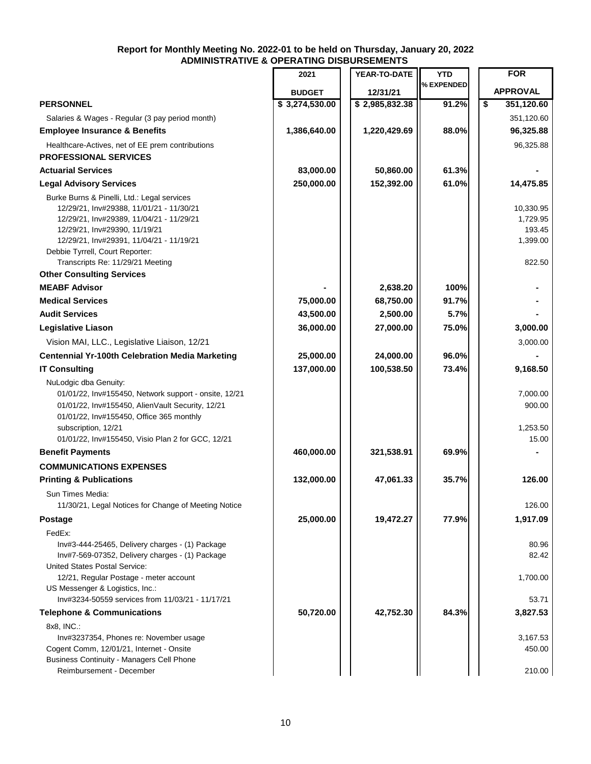#### **Report for Monthly Meeting No. 2022-01 to be held on Thursday, January 20, 2022 ADMINISTRATIVE & OPERATING DISBURSEMENTS**

|                                                                                                                                                                                                                                                                                         | 2021           | YEAR-TO-DATE   | <b>YTD</b> | <b>FOR</b>                                            |
|-----------------------------------------------------------------------------------------------------------------------------------------------------------------------------------------------------------------------------------------------------------------------------------------|----------------|----------------|------------|-------------------------------------------------------|
|                                                                                                                                                                                                                                                                                         | <b>BUDGET</b>  | 12/31/21       | % EXPENDED | <b>APPROVAL</b>                                       |
| <b>PERSONNEL</b>                                                                                                                                                                                                                                                                        | \$3,274,530.00 | \$2,985,832.38 | 91.2%      | \$<br>351,120.60                                      |
| Salaries & Wages - Regular (3 pay period month)                                                                                                                                                                                                                                         |                |                |            | 351,120.60                                            |
| <b>Employee Insurance &amp; Benefits</b>                                                                                                                                                                                                                                                | 1,386,640.00   | 1,220,429.69   | 88.0%      | 96,325.88                                             |
| Healthcare-Actives, net of EE prem contributions                                                                                                                                                                                                                                        |                |                |            | 96,325.88                                             |
| <b>PROFESSIONAL SERVICES</b>                                                                                                                                                                                                                                                            |                |                |            |                                                       |
| <b>Actuarial Services</b>                                                                                                                                                                                                                                                               | 83,000.00      | 50,860.00      | 61.3%      |                                                       |
| <b>Legal Advisory Services</b>                                                                                                                                                                                                                                                          | 250,000.00     | 152,392.00     | 61.0%      | 14,475.85                                             |
| Burke Burns & Pinelli, Ltd.: Legal services<br>12/29/21, Inv#29388, 11/01/21 - 11/30/21<br>12/29/21, Inv#29389, 11/04/21 - 11/29/21<br>12/29/21, Inv#29390, 11/19/21<br>12/29/21, Inv#29391, 11/04/21 - 11/19/21<br>Debbie Tyrrell, Court Reporter:<br>Transcripts Re: 11/29/21 Meeting |                |                |            | 10,330.95<br>1,729.95<br>193.45<br>1,399.00<br>822.50 |
| <b>Other Consulting Services</b>                                                                                                                                                                                                                                                        |                |                |            |                                                       |
| <b>MEABF Advisor</b>                                                                                                                                                                                                                                                                    |                | 2,638.20       | 100%       |                                                       |
| <b>Medical Services</b>                                                                                                                                                                                                                                                                 | 75,000.00      | 68,750.00      | 91.7%      |                                                       |
| <b>Audit Services</b>                                                                                                                                                                                                                                                                   | 43,500.00      | 2,500.00       | 5.7%       |                                                       |
| <b>Legislative Liason</b>                                                                                                                                                                                                                                                               | 36,000.00      | 27,000.00      | 75.0%      | 3,000.00                                              |
| Vision MAI, LLC., Legislative Liaison, 12/21                                                                                                                                                                                                                                            |                |                |            | 3,000.00                                              |
| <b>Centennial Yr-100th Celebration Media Marketing</b>                                                                                                                                                                                                                                  | 25,000.00      | 24,000.00      | 96.0%      |                                                       |
| <b>IT Consulting</b>                                                                                                                                                                                                                                                                    | 137,000.00     | 100,538.50     | 73.4%      | 9,168.50                                              |
| NuLodgic dba Genuity:<br>01/01/22, Inv#155450, Network support - onsite, 12/21<br>01/01/22, Inv#155450, AlienVault Security, 12/21<br>01/01/22, Inv#155450, Office 365 monthly<br>subscription, 12/21<br>01/01/22, Inv#155450, Visio Plan 2 for GCC, 12/21                              |                |                |            | 7,000.00<br>900.00<br>1,253.50<br>15.00               |
| <b>Benefit Payments</b>                                                                                                                                                                                                                                                                 | 460,000.00     | 321,538.91     | 69.9%      |                                                       |
| <b>COMMUNICATIONS EXPENSES</b>                                                                                                                                                                                                                                                          |                |                |            |                                                       |
| <b>Printing &amp; Publications</b>                                                                                                                                                                                                                                                      | 132,000.00     | 47,061.33      | 35.7%      | 126.00                                                |
| Sun Times Media:                                                                                                                                                                                                                                                                        |                |                |            |                                                       |
| 11/30/21, Legal Notices for Change of Meeting Notice                                                                                                                                                                                                                                    |                |                |            | 126.00                                                |
| <b>Postage</b>                                                                                                                                                                                                                                                                          | 25,000.00      | 19,472.27      | 77.9%      | 1,917.09                                              |
| FedEx:                                                                                                                                                                                                                                                                                  |                |                |            |                                                       |
| Inv#3-444-25465, Delivery charges - (1) Package<br>Inv#7-569-07352, Delivery charges - (1) Package<br>United States Postal Service:                                                                                                                                                     |                |                |            | 80.96<br>82.42                                        |
| 12/21, Regular Postage - meter account<br>US Messenger & Logistics, Inc.:                                                                                                                                                                                                               |                |                |            | 1,700.00                                              |
| Inv#3234-50559 services from 11/03/21 - 11/17/21                                                                                                                                                                                                                                        |                |                |            | 53.71                                                 |
| <b>Telephone &amp; Communications</b><br>8x8, INC.:                                                                                                                                                                                                                                     | 50,720.00      | 42,752.30      | 84.3%      | 3,827.53                                              |
| Inv#3237354, Phones re: November usage<br>Cogent Comm, 12/01/21, Internet - Onsite<br><b>Business Continuity - Managers Cell Phone</b>                                                                                                                                                  |                |                |            | 3,167.53<br>450.00                                    |
| Reimbursement - December                                                                                                                                                                                                                                                                |                |                |            | 210.00                                                |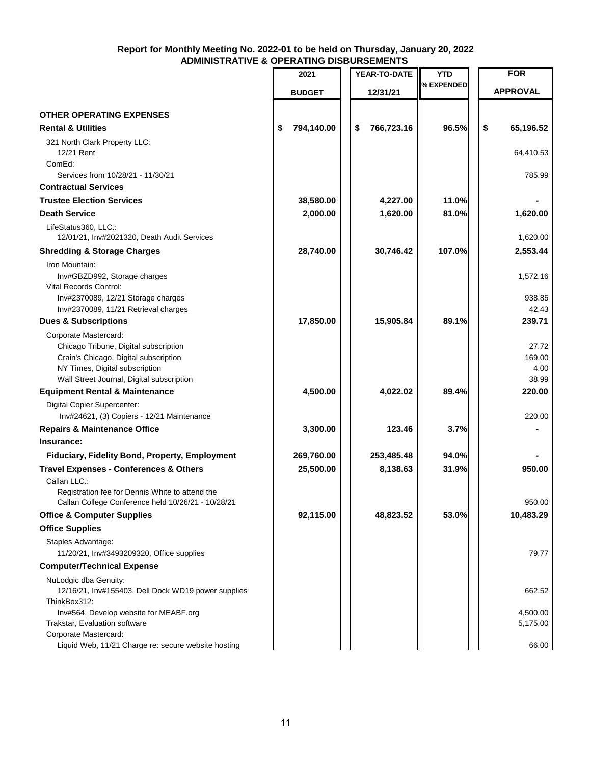#### **Report for Monthly Meeting No. 2022-01 to be held on Thursday, January 20, 2022 ADMINISTRATIVE & OPERATING DISBURSEMENTS**

|                                                                              | 2021             | YEAR-TO-DATE     | <b>YTD</b> | <b>FOR</b>      |
|------------------------------------------------------------------------------|------------------|------------------|------------|-----------------|
|                                                                              | <b>BUDGET</b>    | 12/31/21         | % EXPENDED | <b>APPROVAL</b> |
| <b>OTHER OPERATING EXPENSES</b>                                              |                  |                  |            |                 |
| <b>Rental &amp; Utilities</b>                                                | \$<br>794,140.00 | 766,723.16<br>\$ | 96.5%      | \$<br>65,196.52 |
| 321 North Clark Property LLC:                                                |                  |                  |            |                 |
| 12/21 Rent<br>ComEd:                                                         |                  |                  |            | 64,410.53       |
| Services from 10/28/21 - 11/30/21                                            |                  |                  |            | 785.99          |
| <b>Contractual Services</b>                                                  |                  |                  |            |                 |
| <b>Trustee Election Services</b>                                             | 38,580.00        | 4,227.00         | 11.0%      |                 |
| <b>Death Service</b>                                                         | 2,000.00         | 1,620.00         | 81.0%      | 1,620.00        |
| LifeStatus360, LLC.:<br>12/01/21, Inv#2021320, Death Audit Services          |                  |                  |            | 1,620.00        |
| <b>Shredding &amp; Storage Charges</b>                                       | 28,740.00        | 30,746.42        | 107.0%     | 2,553.44        |
| Iron Mountain:                                                               |                  |                  |            |                 |
| Inv#GBZD992, Storage charges<br>Vital Records Control:                       |                  |                  |            | 1,572.16        |
| Inv#2370089, 12/21 Storage charges                                           |                  |                  |            | 938.85          |
| Inv#2370089, 11/21 Retrieval charges                                         |                  |                  |            | 42.43           |
| <b>Dues &amp; Subscriptions</b>                                              | 17,850.00        | 15,905.84        | 89.1%      | 239.71          |
| Corporate Mastercard:                                                        |                  |                  |            |                 |
| Chicago Tribune, Digital subscription                                        |                  |                  |            | 27.72           |
| Crain's Chicago, Digital subscription                                        |                  |                  |            | 169.00          |
| NY Times, Digital subscription                                               |                  |                  |            | 4.00            |
| Wall Street Journal, Digital subscription                                    |                  |                  |            | 38.99           |
| <b>Equipment Rental &amp; Maintenance</b>                                    | 4,500.00         | 4,022.02         | 89.4%      | 220.00          |
| Digital Copier Supercenter:<br>Inv#24621, (3) Copiers - 12/21 Maintenance    |                  |                  |            | 220.00          |
| <b>Repairs &amp; Maintenance Office</b>                                      | 3,300.00         | 123.46           | 3.7%       |                 |
| Insurance:                                                                   |                  |                  |            |                 |
| Fiduciary, Fidelity Bond, Property, Employment                               | 269,760.00       | 253,485.48       | 94.0%      |                 |
| <b>Travel Expenses - Conferences &amp; Others</b>                            | 25,500.00        | 8,138.63         | 31.9%      | 950.00          |
| Callan LLC.:<br>Registration fee for Dennis White to attend the              |                  |                  |            |                 |
| Callan College Conference held 10/26/21 - 10/28/21                           |                  |                  |            | 950.00          |
| <b>Office &amp; Computer Supplies</b>                                        | 92,115.00        | 48,823.52        | 53.0%      | 10,483.29       |
| <b>Office Supplies</b>                                                       |                  |                  |            |                 |
| Staples Advantage:<br>11/20/21, Inv#3493209320, Office supplies              |                  |                  |            | 79.77           |
| <b>Computer/Technical Expense</b>                                            |                  |                  |            |                 |
| NuLodgic dba Genuity:<br>12/16/21, Inv#155403, Dell Dock WD19 power supplies |                  |                  |            | 662.52          |
| ThinkBox312:                                                                 |                  |                  |            |                 |
| Inv#564, Develop website for MEABF.org                                       |                  |                  |            | 4,500.00        |
| Trakstar, Evaluation software                                                |                  |                  |            | 5,175.00        |
| Corporate Mastercard:<br>Liquid Web, 11/21 Charge re: secure website hosting |                  |                  |            | 66.00           |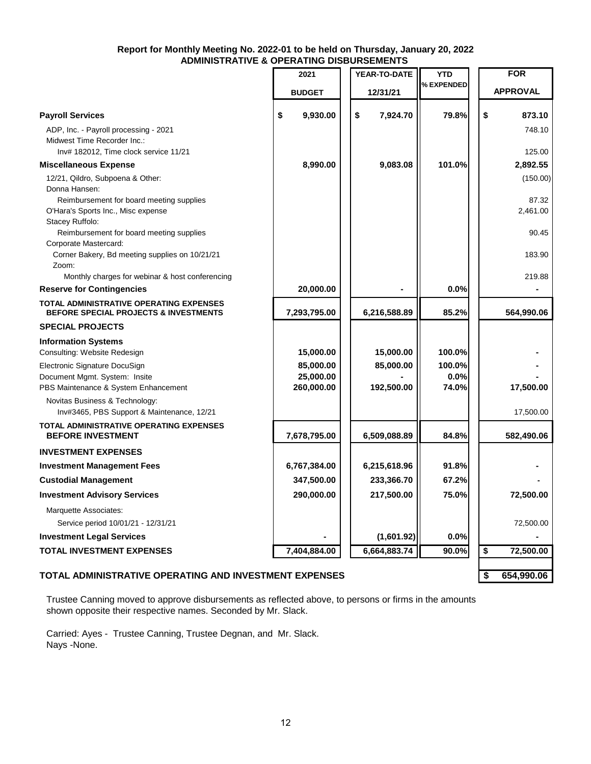#### **Report for Monthly Meeting No. 2022-01 to be held on Thursday, January 20, 2022 ADMINISTRATIVE & OPERATING DISBURSEMENTS**  $\frac{1}{2}$

|                                                                                                               | טוע טאווואט וט                       |                         |                          |                   |
|---------------------------------------------------------------------------------------------------------------|--------------------------------------|-------------------------|--------------------------|-------------------|
|                                                                                                               | 2021                                 | YEAR-TO-DATE            | <b>YTD</b><br>% EXPENDED | <b>FOR</b>        |
|                                                                                                               | <b>BUDGET</b>                        | 12/31/21                |                          | <b>APPROVAL</b>   |
| <b>Payroll Services</b>                                                                                       | \$<br>9,930.00                       | \$<br>7,924.70          | 79.8%                    | \$<br>873.10      |
| ADP, Inc. - Payroll processing - 2021<br>Midwest Time Recorder Inc.:<br>Inv# 182012, Time clock service 11/21 |                                      |                         |                          | 748.10<br>125.00  |
| <b>Miscellaneous Expense</b>                                                                                  | 8,990.00                             | 9,083.08                | 101.0%                   | 2,892.55          |
| 12/21, Qildro, Subpoena & Other:<br>Donna Hansen:<br>Reimbursement for board meeting supplies                 |                                      |                         |                          | (150.00)<br>87.32 |
| O'Hara's Sports Inc., Misc expense<br>Stacey Ruffolo:                                                         |                                      |                         |                          | 2,461.00          |
| Reimbursement for board meeting supplies<br>Corporate Mastercard:                                             |                                      |                         |                          | 90.45             |
| Corner Bakery, Bd meeting supplies on 10/21/21<br>Zoom:<br>Monthly charges for webinar & host conferencing    |                                      |                         |                          | 183.90<br>219.88  |
| <b>Reserve for Contingencies</b>                                                                              | 20,000.00                            |                         | 0.0%                     |                   |
| <b>TOTAL ADMINISTRATIVE OPERATING EXPENSES</b><br><b>BEFORE SPECIAL PROJECTS &amp; INVESTMENTS</b>            | 7,293,795.00                         | 6,216,588.89            | 85.2%                    | 564,990.06        |
| <b>SPECIAL PROJECTS</b>                                                                                       |                                      |                         |                          |                   |
| <b>Information Systems</b><br>Consulting: Website Redesign                                                    | 15,000.00                            | 15,000.00               | 100.0%                   |                   |
| Electronic Signature DocuSign<br>Document Mgmt. System: Insite<br>PBS Maintenance & System Enhancement        | 85,000.00<br>25,000.00<br>260,000.00 | 85,000.00<br>192,500.00 | 100.0%<br>0.0%<br>74.0%  | 17,500.00         |
| Novitas Business & Technology:<br>Inv#3465, PBS Support & Maintenance, 12/21                                  |                                      |                         |                          | 17,500.00         |
| TOTAL ADMINISTRATIVE OPERATING EXPENSES<br><b>BEFORE INVESTMENT</b>                                           | 7,678,795.00                         | 6,509,088.89            | 84.8%                    | 582,490.06        |
| <b>INVESTMENT EXPENSES</b>                                                                                    |                                      |                         |                          |                   |
| <b>Investment Management Fees</b>                                                                             | 6,767,384.00                         | 6,215,618.96            | 91.8%                    |                   |
| <b>Custodial Management</b>                                                                                   | 347,500.00                           | 233,366.70              | 67.2%                    |                   |
| <b>Investment Advisory Services</b>                                                                           | 290,000.00                           | 217,500.00              | 75.0%                    | 72,500.00         |
| Marquette Associates:<br>Service period 10/01/21 - 12/31/21                                                   |                                      |                         |                          | 72,500.00         |
| <b>Investment Legal Services</b>                                                                              |                                      | (1,601.92)              | 0.0%                     |                   |
| <b>TOTAL INVESTMENT EXPENSES</b>                                                                              | 7,404,884.00                         | 6,664,883.74            | 90.0%                    | \$<br>72,500.00   |
|                                                                                                               |                                      |                         |                          |                   |

### **TOTAL ADMINISTRATIVE OPERATING AND INVESTMENT EXPENSES \$ 654,990.06**

Trustee Canning moved to approve disbursements as reflected above, to persons or firms in the amounts shown opposite their respective names. Seconded by Mr. Slack.

Carried: Ayes - Trustee Canning, Trustee Degnan, and Mr. Slack. Nays -None.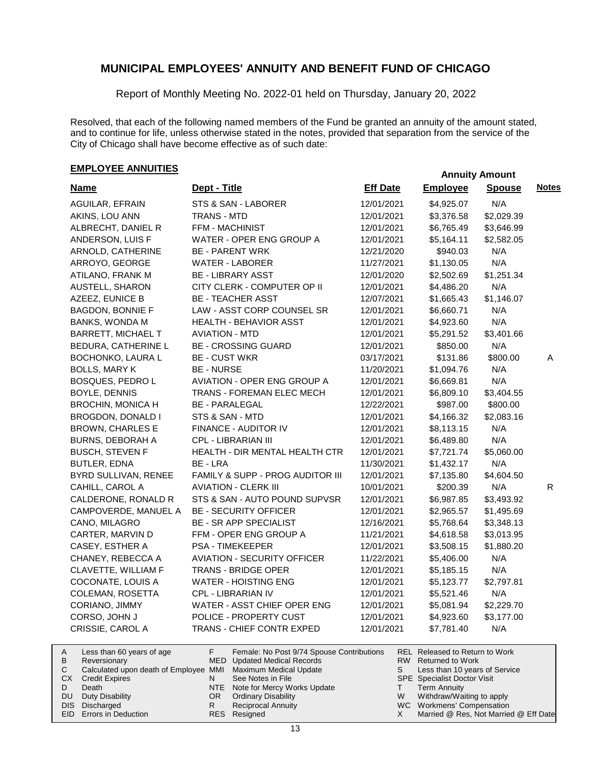Report of Monthly Meeting No. 2022-01 held on Thursday, January 20, 2022

Resolved, that each of the following named members of the Fund be granted an annuity of the amount stated, and to continue for life, unless otherwise stated in the notes, provided that separation from the service of the City of Chicago shall have become effective as of such date:

# **EMPLOYEE ANNUITIES**

| <b>Name</b>              | Dept - Title                       | <b>Eff Date</b> | <b>Employee</b> | <b>Spouse</b> | <b>Notes</b> |
|--------------------------|------------------------------------|-----------------|-----------------|---------------|--------------|
| AGUILAR, EFRAIN          | STS & SAN - LABORER                | 12/01/2021      | \$4,925.07      | N/A           |              |
| AKINS, LOU ANN           | <b>TRANS - MTD</b>                 | 12/01/2021      | \$3,376.58      | \$2,029.39    |              |
| ALBRECHT, DANIEL R       | FFM - MACHINIST                    | 12/01/2021      | \$6,765.49      | \$3,646.99    |              |
| ANDERSON, LUIS F         | WATER - OPER ENG GROUP A           | 12/01/2021      | \$5,164.11      | \$2,582.05    |              |
| ARNOLD, CATHERINE        | <b>BE - PARENT WRK</b>             | 12/21/2020      | \$940.03        | N/A           |              |
| ARROYO, GEORGE           | <b>WATER - LABORER</b>             | 11/27/2021      | \$1,130.05      | N/A           |              |
| ATILANO, FRANK M         | <b>BE - LIBRARY ASST</b>           | 12/01/2020      | \$2,502.69      | \$1,251.34    |              |
| AUSTELL, SHARON          | CITY CLERK - COMPUTER OP II        | 12/01/2021      | \$4,486.20      | N/A           |              |
| AZEEZ, EUNICE B          | <b>BE - TEACHER ASST</b>           | 12/07/2021      | \$1,665.43      | \$1,146.07    |              |
| <b>BAGDON, BONNIE F</b>  | LAW - ASST CORP COUNSEL SR         | 12/01/2021      | \$6,660.71      | N/A           |              |
| BANKS, WONDA M           | <b>HEALTH - BEHAVIOR ASST</b>      | 12/01/2021      | \$4,923.60      | N/A           |              |
| BARRETT, MICHAEL T       | <b>AVIATION - MTD</b>              | 12/01/2021      | \$5,291.52      | \$3,401.66    |              |
| BEDURA, CATHERINE L      | <b>BE - CROSSING GUARD</b>         | 12/01/2021      | \$850.00        | N/A           |              |
| <b>BOCHONKO, LAURA L</b> | <b>BE - CUST WKR</b>               | 03/17/2021      | \$131.86        | \$800.00      | Α            |
| <b>BOLLS, MARY K</b>     | <b>BE - NURSE</b>                  | 11/20/2021      | \$1,094.76      | N/A           |              |
| <b>BOSQUES, PEDRO L</b>  | <b>AVIATION - OPER ENG GROUP A</b> | 12/01/2021      | \$6,669.81      | N/A           |              |
| BOYLE, DENNIS            | TRANS - FOREMAN ELEC MECH          | 12/01/2021      | \$6,809.10      | \$3,404.55    |              |
| <b>BROCHIN, MONICA H</b> | <b>BE - PARALEGAL</b>              | 12/22/2021      | \$987.00        | \$800.00      |              |
| BROGDON, DONALD I        | STS & SAN - MTD                    | 12/01/2021      | \$4,166.32      | \$2,083.16    |              |
| <b>BROWN, CHARLES E</b>  | FINANCE - AUDITOR IV               | 12/01/2021      | \$8,113.15      | N/A           |              |
| <b>BURNS, DEBORAH A</b>  | CPL - LIBRARIAN III                | 12/01/2021      | \$6,489.80      | N/A           |              |
| <b>BUSCH, STEVEN F</b>   | HEALTH - DIR MENTAL HEALTH CTR     | 12/01/2021      | \$7,721.74      | \$5,060.00    |              |
| <b>BUTLER, EDNA</b>      | BE - LRA                           | 11/30/2021      | \$1,432.17      | N/A           |              |
| BYRD SULLIVAN, RENEE     | FAMILY & SUPP - PROG AUDITOR III   | 12/01/2021      | \$7,135.80      | \$4,604.50    |              |
| CAHILL, CAROL A          | <b>AVIATION - CLERK III</b>        | 10/01/2021      | \$200.39        | N/A           | R.           |
| CALDERONE, RONALD R      | STS & SAN - AUTO POUND SUPVSR      | 12/01/2021      | \$6,987.85      | \$3,493.92    |              |
| CAMPOVERDE, MANUEL A     | <b>BE - SECURITY OFFICER</b>       | 12/01/2021      | \$2,965.57      | \$1,495.69    |              |
| CANO, MILAGRO            | <b>BE - SR APP SPECIALIST</b>      | 12/16/2021      | \$5,768.64      | \$3,348.13    |              |
| CARTER, MARVIN D         | FFM - OPER ENG GROUP A             | 11/21/2021      | \$4,618.58      | \$3,013.95    |              |
| CASEY, ESTHER A          | <b>PSA - TIMEKEEPER</b>            | 12/01/2021      | \$3,508.15      | \$1,880.20    |              |
| CHANEY, REBECCA A        | <b>AVIATION - SECURITY OFFICER</b> | 11/22/2021      | \$5,406.00      | N/A           |              |
| CLAVETTE, WILLIAM F      | <b>TRANS - BRIDGE OPER</b>         | 12/01/2021      | \$5,185.15      | N/A           |              |
| COCONATE, LOUIS A        | <b>WATER - HOISTING ENG</b>        | 12/01/2021      | \$5,123.77      | \$2,797.81    |              |
| COLEMAN, ROSETTA         | <b>CPL - LIBRARIAN IV</b>          | 12/01/2021      | \$5,521.46      | N/A           |              |
| CORIANO, JIMMY           | WATER - ASST CHIEF OPER ENG        | 12/01/2021      | \$5,081.94      | \$2,229.70    |              |
| CORSO, JOHN J            | POLICE - PROPERTY CUST             | 12/01/2021      | \$4,923.60      | \$3,177.00    |              |
| CRISSIE, CAROL A         | TRANS - CHIEF CONTR EXPED          | 12/01/2021      | \$7,781.40      | N/A           |              |

| A         | Less than 60 years of age                                    |     | Female: No Post 9/74 Spouse Contributions |    | REL Released to Return to Work        |
|-----------|--------------------------------------------------------------|-----|-------------------------------------------|----|---------------------------------------|
| B         | Reversionary                                                 |     | MED Updated Medical Records               |    | RW Returned to Work                   |
|           | Calculated upon death of Employee MMI Maximum Medical Update |     |                                           | S. | Less than 10 years of Service         |
| <b>CX</b> | Credit Expires                                               |     | See Notes in File                         |    | <b>SPE</b> Specialist Doctor Visit    |
|           | Death                                                        |     | NTE Note for Mercy Works Update           |    | Term Annuity                          |
| DU.       | Duty Disability                                              | OR. | <b>Ordinary Disability</b>                | W  | Withdraw/Waiting to apply             |
|           | DIS Discharged                                               |     | <b>Reciprocal Annuity</b>                 |    | WC Workmens' Compensation             |
|           | <b>EID</b> Errors in Deduction                               |     | RES Resigned                              |    | Married @ Res, Not Married @ Eff Date |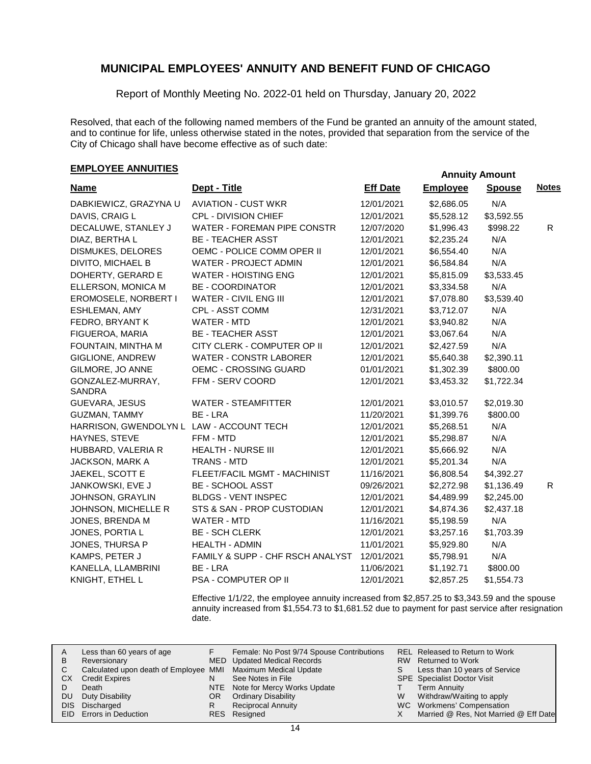Report of Monthly Meeting No. 2022-01 held on Thursday, January 20, 2022

Resolved, that each of the following named members of the Fund be granted an annuity of the amount stated, and to continue for life, unless otherwise stated in the notes, provided that separation from the service of the City of Chicago shall have become effective as of such date:

# **EMPLOYEE ANNUITIES**

| <b>Name</b>                              | Dept - Title                     | <b>Eff Date</b> | <b>Employee</b> | <b>Spouse</b> | <b>Notes</b> |
|------------------------------------------|----------------------------------|-----------------|-----------------|---------------|--------------|
| DABKIEWICZ, GRAZYNA U                    | <b>AVIATION - CUST WKR</b>       | 12/01/2021      | \$2,686.05      | N/A           |              |
| DAVIS, CRAIG L                           | CPL - DIVISION CHIEF             | 12/01/2021      | \$5,528.12      | \$3,592.55    |              |
| DECALUWE, STANLEY J                      | WATER - FOREMAN PIPE CONSTR      | 12/07/2020      | \$1,996.43      | \$998.22      | R            |
| DIAZ, BERTHA L                           | <b>BE - TEACHER ASST</b>         | 12/01/2021      | \$2,235.24      | N/A           |              |
| <b>DISMUKES, DELORES</b>                 | OEMC - POLICE COMM OPER II       | 12/01/2021      | \$6,554.40      | N/A           |              |
| DIVITO, MICHAEL B                        | <b>WATER - PROJECT ADMIN</b>     | 12/01/2021      | \$6,584.84      | N/A           |              |
| DOHERTY, GERARD E                        | <b>WATER - HOISTING ENG</b>      | 12/01/2021      | \$5,815.09      | \$3,533.45    |              |
| ELLERSON, MONICA M                       | <b>BE - COORDINATOR</b>          | 12/01/2021      | \$3,334.58      | N/A           |              |
| EROMOSELE, NORBERT I                     | WATER - CIVIL ENG III            | 12/01/2021      | \$7,078.80      | \$3,539.40    |              |
| <b>ESHLEMAN, AMY</b>                     | CPL - ASST COMM                  | 12/31/2021      | \$3,712.07      | N/A           |              |
| FEDRO, BRYANT K                          | WATER - MTD                      | 12/01/2021      | \$3,940.82      | N/A           |              |
| FIGUEROA, MARIA                          | <b>BE - TEACHER ASST</b>         | 12/01/2021      | \$3,067.64      | N/A           |              |
| FOUNTAIN, MINTHA M                       | CITY CLERK - COMPUTER OP II      | 12/01/2021      | \$2,427.59      | N/A           |              |
| GIGLIONE, ANDREW                         | <b>WATER - CONSTR LABORER</b>    | 12/01/2021      | \$5,640.38      | \$2,390.11    |              |
| GILMORE, JO ANNE                         | <b>OEMC - CROSSING GUARD</b>     | 01/01/2021      | \$1,302.39      | \$800.00      |              |
| GONZALEZ-MURRAY,<br>SANDRA               | FFM - SERV COORD                 | 12/01/2021      | \$3,453.32      | \$1,722.34    |              |
| GUEVARA, JESUS                           | <b>WATER - STEAMFITTER</b>       | 12/01/2021      | \$3,010.57      | \$2,019.30    |              |
| GUZMAN, TAMMY                            | BE - LRA                         | 11/20/2021      | \$1,399.76      | \$800.00      |              |
| HARRISON, GWENDOLYN L LAW - ACCOUNT TECH |                                  | 12/01/2021      | \$5,268.51      | N/A           |              |
| HAYNES, STEVE                            | FFM - MTD                        | 12/01/2021      | \$5,298.87      | N/A           |              |
| HUBBARD, VALERIA R                       | <b>HEALTH - NURSE III</b>        | 12/01/2021      | \$5,666.92      | N/A           |              |
| JACKSON, MARK A                          | <b>TRANS - MTD</b>               | 12/01/2021      | \$5,201.34      | N/A           |              |
| JAEKEL, SCOTT E                          | FLEET/FACIL MGMT - MACHINIST     | 11/16/2021      | \$6,808.54      | \$4,392.27    |              |
| JANKOWSKI, EVE J                         | <b>BE - SCHOOL ASST</b>          | 09/26/2021      | \$2,272.98      | \$1,136.49    | R.           |
| JOHNSON, GRAYLIN                         | <b>BLDGS - VENT INSPEC</b>       | 12/01/2021      | \$4,489.99      | \$2,245.00    |              |
| JOHNSON, MICHELLE R                      | STS & SAN - PROP CUSTODIAN       | 12/01/2021      | \$4,874.36      | \$2,437.18    |              |
| JONES, BRENDA M                          | WATER - MTD                      | 11/16/2021      | \$5,198.59      | N/A           |              |
| JONES, PORTIA L                          | <b>BE - SCH CLERK</b>            | 12/01/2021      | \$3,257.16      | \$1,703.39    |              |
| JONES, THURSA P                          | <b>HEALTH - ADMIN</b>            | 11/01/2021      | \$5,929.80      | N/A           |              |
| KAMPS, PETER J                           | FAMILY & SUPP - CHF RSCH ANALYST | 12/01/2021      | \$5,798.91      | N/A           |              |
| KANELLA, LLAMBRINI                       | BE - LRA                         | 11/06/2021      | \$1,192.71      | \$800.00      |              |
| KNIGHT, ETHEL L                          | <b>PSA - COMPUTER OP II</b>      | 12/01/2021      | \$2,857.25      | \$1,554.73    |              |

Effective 1/1/22, the employee annuity increased from \$2,857.25 to \$3,343.59 and the spouse annuity increased from \$1,554.73 to \$1,681.52 due to payment for past service after resignation date.

|    | Less than 60 years of age                                    |    | Female: No Post 9/74 Spouse Contributions |   | REL Released to Return to Work        |
|----|--------------------------------------------------------------|----|-------------------------------------------|---|---------------------------------------|
| В  | Reversionary                                                 |    | MED Updated Medical Records               |   | RW Returned to Work                   |
|    | Calculated upon death of Employee MMI Maximum Medical Update |    |                                           |   | Less than 10 years of Service         |
| CХ | <b>Credit Expires</b>                                        |    | See Notes in File                         |   | <b>SPE</b> Specialist Doctor Visit    |
|    | Death                                                        |    | NTE Note for Mercy Works Update           |   | Term Annuity                          |
| DU | Duty Disability                                              | OR | <b>Ordinary Disability</b>                | w | Withdraw/Waiting to apply             |
|    | DIS Discharged                                               |    | <b>Reciprocal Annuity</b>                 |   | WC Workmens' Compensation             |
|    | EID Errors in Deduction                                      |    | RES Resigned                              |   | Married @ Res, Not Married @ Eff Date |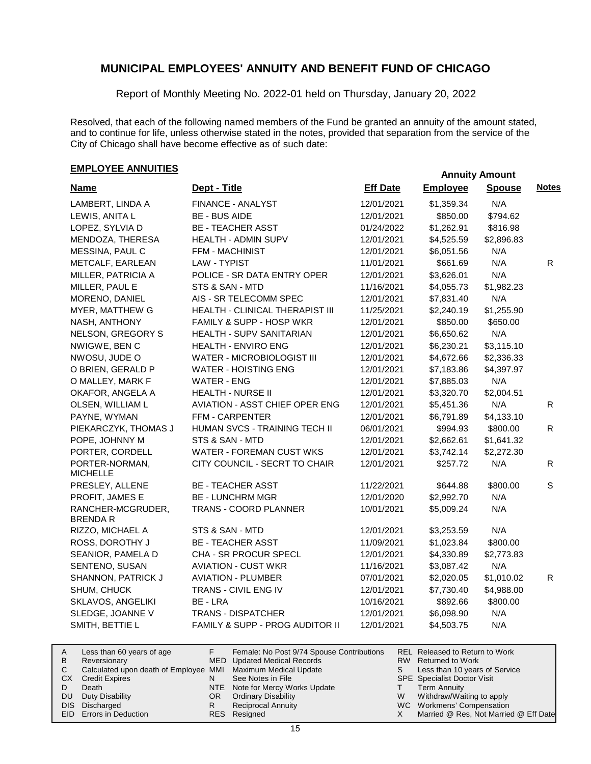Report of Monthly Meeting No. 2022-01 held on Thursday, January 20, 2022

Resolved, that each of the following named members of the Fund be granted an annuity of the amount stated, and to continue for life, unless otherwise stated in the notes, provided that separation from the service of the City of Chicago shall have become effective as of such date:

# **EMPLOYEE ANNUITIES**

| <b>Name</b>                       | Dept - Title                           | <b>Eff Date</b> | <b>Employee</b> | <b>Spouse</b> | <b>Notes</b> |
|-----------------------------------|----------------------------------------|-----------------|-----------------|---------------|--------------|
| LAMBERT, LINDA A                  | FINANCE - ANALYST                      | 12/01/2021      | \$1,359.34      | N/A           |              |
| LEWIS, ANITA L                    | <b>BE - BUS AIDE</b>                   | 12/01/2021      | \$850.00        | \$794.62      |              |
| LOPEZ, SYLVIA D                   | <b>BE - TEACHER ASST</b>               | 01/24/2022      | \$1,262.91      | \$816.98      |              |
| MENDOZA, THERESA                  | <b>HEALTH - ADMIN SUPV</b>             | 12/01/2021      | \$4,525.59      | \$2,896.83    |              |
| MESSINA, PAUL C                   | FFM - MACHINIST                        | 12/01/2021      | \$6,051.56      | N/A           |              |
| METCALF, EARLEAN                  | LAW - TYPIST                           | 11/01/2021      | \$661.69        | N/A           | R.           |
| MILLER, PATRICIA A                | POLICE - SR DATA ENTRY OPER            | 12/01/2021      | \$3,626.01      | N/A           |              |
| MILLER, PAUL E                    | STS & SAN - MTD                        | 11/16/2021      | \$4,055.73      | \$1,982.23    |              |
| MORENO, DANIEL                    | AIS - SR TELECOMM SPEC                 | 12/01/2021      | \$7,831.40      | N/A           |              |
| MYER, MATTHEW G                   | <b>HEALTH - CLINICAL THERAPIST III</b> | 11/25/2021      | \$2,240.19      | \$1,255.90    |              |
| NASH, ANTHONY                     | FAMILY & SUPP - HOSP WKR               | 12/01/2021      | \$850.00        | \$650.00      |              |
| NELSON, GREGORY S                 | HEALTH - SUPV SANITARIAN               | 12/01/2021      | \$6,650.62      | N/A           |              |
| NWIGWE, BEN C                     | HEALTH - ENVIRO ENG                    | 12/01/2021      | \$6,230.21      | \$3,115.10    |              |
| NWOSU, JUDE O                     | WATER - MICROBIOLOGIST III             | 12/01/2021      | \$4,672.66      | \$2,336.33    |              |
| O BRIEN, GERALD P                 | <b>WATER - HOISTING ENG</b>            | 12/01/2021      | \$7,183.86      | \$4,397.97    |              |
| O MALLEY, MARK F                  | <b>WATER - ENG</b>                     | 12/01/2021      | \$7,885.03      | N/A           |              |
| OKAFOR, ANGELA A                  | <b>HEALTH - NURSE II</b>               | 12/01/2021      | \$3,320.70      | \$2,004.51    |              |
| OLSEN, WILLIAM L                  | AVIATION - ASST CHIEF OPER ENG         | 12/01/2021      | \$5,451.36      | N/A           | R.           |
| PAYNE, WYMAN                      | FFM - CARPENTER                        | 12/01/2021      | \$6,791.89      | \$4,133.10    |              |
| PIEKARCZYK, THOMAS J              | HUMAN SVCS - TRAINING TECH II          | 06/01/2021      | \$994.93        | \$800.00      | $\mathsf{R}$ |
| POPE, JOHNNY M                    | STS & SAN - MTD                        | 12/01/2021      | \$2,662.61      | \$1,641.32    |              |
| PORTER, CORDELL                   | <b>WATER - FOREMAN CUST WKS</b>        | 12/01/2021      | \$3,742.14      | \$2,272.30    |              |
| PORTER-NORMAN,<br><b>MICHELLE</b> | CITY COUNCIL - SECRT TO CHAIR          | 12/01/2021      | \$257.72        | N/A           | R            |
| PRESLEY, ALLENE                   | <b>BE - TEACHER ASST</b>               | 11/22/2021      | \$644.88        | \$800.00      | S            |
| PROFIT, JAMES E                   | <b>BE - LUNCHRM MGR</b>                | 12/01/2020      | \$2,992.70      | N/A           |              |
| RANCHER-MCGRUDER,<br>BRENDA R     | TRANS - COORD PLANNER                  | 10/01/2021      | \$5,009.24      | N/A           |              |
| RIZZO, MICHAEL A                  | STS & SAN - MTD                        | 12/01/2021      | \$3,253.59      | N/A           |              |
| ROSS, DOROTHY J                   | <b>BE - TEACHER ASST</b>               | 11/09/2021      | \$1,023.84      | \$800.00      |              |
| SEANIOR, PAMELA D                 | CHA - SR PROCUR SPECL                  | 12/01/2021      | \$4,330.89      | \$2,773.83    |              |
| SENTENO, SUSAN                    | <b>AVIATION - CUST WKR</b>             | 11/16/2021      | \$3,087.42      | N/A           |              |
| SHANNON, PATRICK J                | <b>AVIATION - PLUMBER</b>              | 07/01/2021      | \$2,020.05      | \$1,010.02    | R.           |
| SHUM, CHUCK                       | TRANS - CIVIL ENG IV                   | 12/01/2021      | \$7,730.40      | \$4,988.00    |              |
| SKLAVOS, ANGELIKI                 | BE - LRA                               | 10/16/2021      | \$892.66        | \$800.00      |              |
| SLEDGE, JOANNE V                  | <b>TRANS - DISPATCHER</b>              | 12/01/2021      | \$6,098.90      | N/A           |              |
| SMITH, BETTIE L                   | FAMILY & SUPP - PROG AUDITOR II        | 12/01/2021      | \$4,503.75      | N/A           |              |

| A   | Less than 60 years of age                                    |     | Female: No Post 9/74 Spouse Contributions |   | REL Released to Return to Work        |
|-----|--------------------------------------------------------------|-----|-------------------------------------------|---|---------------------------------------|
| B   | Reversionary                                                 |     | MED Updated Medical Records               |   | RW Returned to Work                   |
|     | Calculated upon death of Employee MMI Maximum Medical Update |     |                                           |   | Less than 10 years of Service         |
|     | <b>CX</b> Credit Expires                                     |     | See Notes in File                         |   | <b>SPE</b> Specialist Doctor Visit    |
|     | Death                                                        |     | NTE Note for Mercy Works Update           |   | <b>Term Annuity</b>                   |
| DU. | Duty Disability                                              | OR. | <b>Ordinary Disability</b>                | W | Withdraw/Waiting to apply             |
|     | DIS Discharged                                               |     | Reciprocal Annuity                        |   | WC Workmens' Compensation             |
|     | EID Errors in Deduction                                      |     | RES Resigned                              |   | Married @ Res, Not Married @ Eff Date |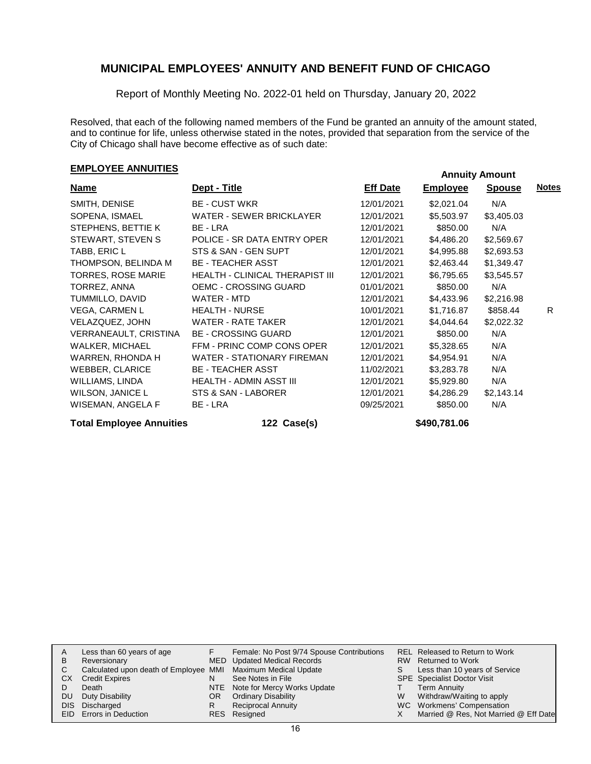Report of Monthly Meeting No. 2022-01 held on Thursday, January 20, 2022

Resolved, that each of the following named members of the Fund be granted an annuity of the amount stated, and to continue for life, unless otherwise stated in the notes, provided that separation from the service of the City of Chicago shall have become effective as of such date:

# **EMPLOYEE ANNUITIES Annuity Amount**

| <b>Name</b>             | Dept - Title                           | <b>Eff Date</b> | <b>Employee</b> | <b>Spouse</b> | <b>Notes</b> |
|-------------------------|----------------------------------------|-----------------|-----------------|---------------|--------------|
| SMITH, DENISE           | <b>BE - CUST WKR</b>                   | 12/01/2021      | \$2,021.04      | N/A           |              |
| SOPENA, ISMAEL          | WATER - SEWER BRICKLAYER               | 12/01/2021      | \$5,503.97      | \$3,405.03    |              |
| STEPHENS, BETTIE K      | BE - LRA                               | 12/01/2021      | \$850.00        | N/A           |              |
| STEWART, STEVEN S       | POLICE - SR DATA ENTRY OPER            | 12/01/2021      | \$4,486.20      | \$2,569.67    |              |
| TABB, ERIC L            | STS & SAN - GEN SUPT                   | 12/01/2021      | \$4,995.88      | \$2,693.53    |              |
| THOMPSON, BELINDA M     | <b>BE - TEACHER ASST</b>               | 12/01/2021      | \$2,463.44      | \$1,349.47    |              |
| TORRES, ROSE MARIE      | <b>HEALTH - CLINICAL THERAPIST III</b> | 12/01/2021      | \$6,795.65      | \$3,545.57    |              |
| TORREZ, ANNA            | OEMC - CROSSING GUARD                  | 01/01/2021      | \$850.00        | N/A           |              |
| TUMMILLO, DAVID         | WATER - MTD                            | 12/01/2021      | \$4,433.96      | \$2,216.98    |              |
| <b>VEGA, CARMEN L</b>   | <b>HEALTH - NURSE</b>                  | 10/01/2021      | \$1,716.87      | \$858.44      | R.           |
| VELAZQUEZ, JOHN         | WATER - RATE TAKER                     | 12/01/2021      | \$4,044.64      | \$2,022.32    |              |
| VERRANEAULT, CRISTINA   | <b>BE - CROSSING GUARD</b>             | 12/01/2021      | \$850.00        | N/A           |              |
| WALKER, MICHAEL         | FFM - PRINC COMP CONS OPER             | 12/01/2021      | \$5,328.65      | N/A           |              |
| WARREN, RHONDA H        | <b>WATER - STATIONARY FIREMAN</b>      | 12/01/2021      | \$4,954.91      | N/A           |              |
| <b>WEBBER, CLARICE</b>  | <b>BE - TEACHER ASST</b>               | 11/02/2021      | \$3,283.78      | N/A           |              |
| WILLIAMS, LINDA         | HEALTH - ADMIN ASST III                | 12/01/2021      | \$5,929.80      | N/A           |              |
| <b>WILSON, JANICE L</b> | STS & SAN - LABORER                    | 12/01/2021      | \$4,286.29      | \$2,143.14    |              |
| WISEMAN, ANGELA F       | BE - LRA                               | 09/25/2021      | \$850.00        | N/A           |              |

### **Total Employee Annuities 122 Case(s) \$490,781.06**

| A   | Less than 60 years of age                                    |     | Female: No Post 9/74 Spouse Contributions |   | REL Released to Return to Work        |
|-----|--------------------------------------------------------------|-----|-------------------------------------------|---|---------------------------------------|
| в   | Reversionary                                                 |     | MED Updated Medical Records               |   | RW Returned to Work                   |
| C.  | Calculated upon death of Employee MMI Maximum Medical Update |     |                                           |   | Less than 10 years of Service         |
| CХ  | <b>Credit Expires</b>                                        | N   | See Notes in File                         |   | <b>SPE</b> Specialist Doctor Visit    |
|     | Death                                                        |     | NTE Note for Mercy Works Update           |   | <b>Term Annuity</b>                   |
| DU. | Duty Disability                                              | OR. | <b>Ordinary Disability</b>                | W | Withdraw/Waiting to apply             |
|     | DIS Discharged                                               | R   | <b>Reciprocal Annuity</b>                 |   | WC Workmens' Compensation             |
|     | EID Errors in Deduction                                      |     | RES Resigned                              |   | Married @ Res, Not Married @ Eff Date |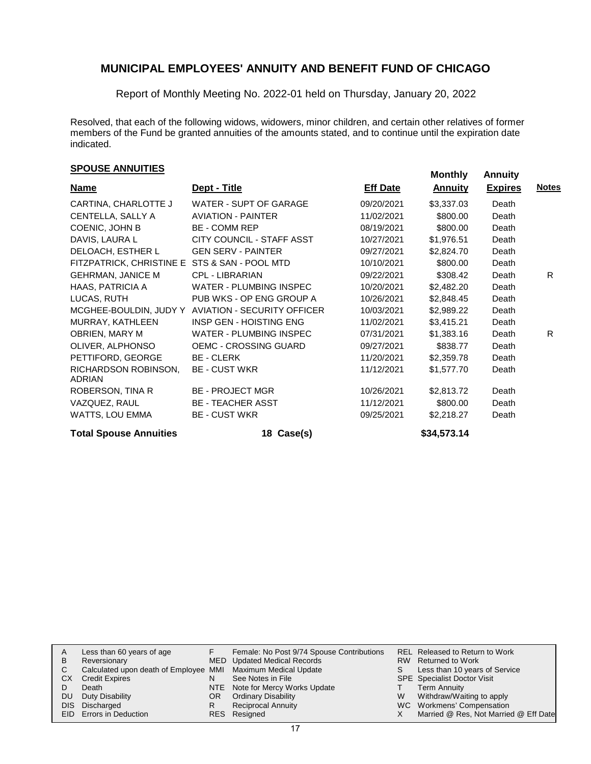Report of Monthly Meeting No. 2022-01 held on Thursday, January 20, 2022

Resolved, that each of the following widows, widowers, minor children, and certain other relatives of former members of the Fund be granted annuities of the amounts stated, and to continue until the expiration date indicated.

# **Monthly Annuities Monthly Annuity Monthly Annuity**

| <b>Name</b>                                   | Dept - Title                   | <b>Eff Date</b> | <u>Annuity</u> | <b>Expires</b> | <b>Notes</b> |
|-----------------------------------------------|--------------------------------|-----------------|----------------|----------------|--------------|
| CARTINA, CHARLOTTE J                          | WATER - SUPT OF GARAGE         | 09/20/2021      | \$3,337.03     | Death          |              |
| CENTELLA, SALLY A                             | <b>AVIATION - PAINTER</b>      | 11/02/2021      | \$800.00       | Death          |              |
| COENIC, JOHN B                                | <b>BE - COMM REP</b>           | 08/19/2021      | \$800.00       | Death          |              |
| DAVIS, LAURA L                                | CITY COUNCIL - STAFF ASST      | 10/27/2021      | \$1,976.51     | Death          |              |
| DELOACH, ESTHER L                             | <b>GEN SERV - PAINTER</b>      | 09/27/2021      | \$2,824.70     | Death          |              |
| FITZPATRICK, CHRISTINE E STS & SAN - POOL MTD |                                | 10/10/2021      | \$800.00       | Death          |              |
| <b>GEHRMAN, JANICE M</b>                      | CPL - LIBRARIAN                | 09/22/2021      | \$308.42       | Death          | R.           |
| HAAS, PATRICIA A                              | <b>WATER - PLUMBING INSPEC</b> | 10/20/2021      | \$2,482.20     | Death          |              |
| LUCAS, RUTH                                   | PUB WKS - OP ENG GROUP A       | 10/26/2021      | \$2,848.45     | Death          |              |
| MCGHEE-BOULDIN, JUDY Y                        | AVIATION - SECURITY OFFICER    | 10/03/2021      | \$2,989.22     | Death          |              |
| MURRAY, KATHLEEN                              | INSP GEN - HOISTING ENG        | 11/02/2021      | \$3,415.21     | Death          |              |
| OBRIEN, MARY M                                | <b>WATER - PLUMBING INSPEC</b> | 07/31/2021      | \$1,383.16     | Death          | R.           |
| OLIVER, ALPHONSO                              | OEMC - CROSSING GUARD          | 09/27/2021      | \$838.77       | Death          |              |
| PETTIFORD, GEORGE                             | <b>BE - CLERK</b>              | 11/20/2021      | \$2,359.78     | Death          |              |
| RICHARDSON ROBINSON,<br><b>ADRIAN</b>         | <b>BE - CUST WKR</b>           | 11/12/2021      | \$1,577.70     | Death          |              |
| ROBERSON, TINA R                              | <b>BE - PROJECT MGR</b>        | 10/26/2021      | \$2,813.72     | Death          |              |
| VAZQUEZ, RAUL                                 | <b>BE - TEACHER ASST</b>       | 11/12/2021      | \$800.00       | Death          |              |
| WATTS, LOU EMMA                               | <b>BE - CUST WKR</b>           | 09/25/2021      | \$2,218.27     | Death          |              |
| <b>Total Spouse Annuities</b>                 | 18 Case(s)                     |                 | \$34,573.14    |                |              |

|    | Less than 60 years of age                                    |    | Female: No Post 9/74 Spouse Contributions |   | REL Released to Return to Work        |
|----|--------------------------------------------------------------|----|-------------------------------------------|---|---------------------------------------|
| в  | Reversionary                                                 |    | MED Updated Medical Records               |   | RW Returned to Work                   |
| С  | Calculated upon death of Employee MMI Maximum Medical Update |    |                                           |   | Less than 10 years of Service         |
| CХ | <b>Credit Expires</b>                                        | N  | See Notes in File                         |   | <b>SPE</b> Specialist Doctor Visit    |
|    | Death                                                        |    | NTE Note for Mercy Works Update           |   | <b>Term Annuity</b>                   |
| DU | Duty Disability                                              | OR | <b>Ordinary Disability</b>                | W | Withdraw/Waiting to apply             |
|    | DIS Discharged                                               |    | Reciprocal Annuity                        |   | WC Workmens' Compensation             |
|    | <b>EID</b> Errors in Deduction                               |    | RES Resigned                              |   | Married @ Res, Not Married @ Eff Date |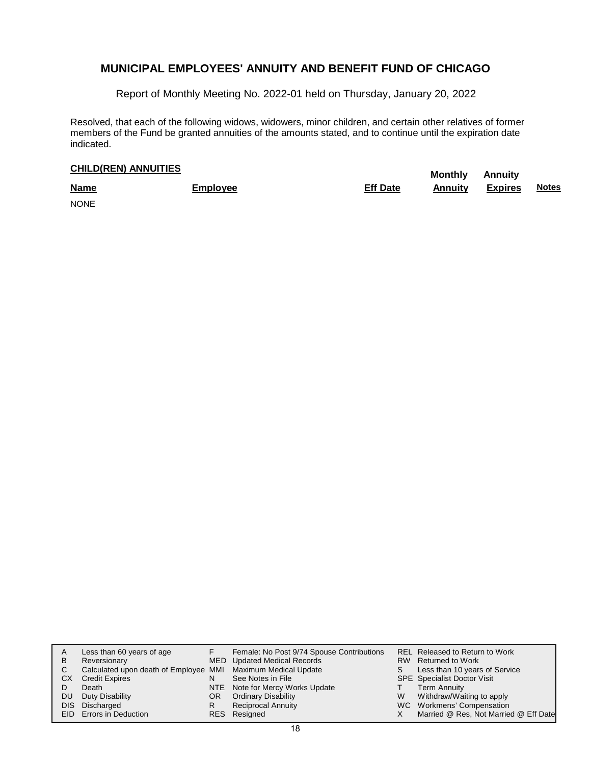Report of Monthly Meeting No. 2022-01 held on Thursday, January 20, 2022

Resolved, that each of the following widows, widowers, minor children, and certain other relatives of former members of the Fund be granted annuities of the amounts stated, and to continue until the expiration date indicated.

# **CHILD(REN) ANNUITIES**<br> **Monthly** Annuity

| <b>Name</b> | <b>Employee</b> | <b>Eff Date</b> | Annuity | <b>Expires</b> | <b>Notes</b> |
|-------------|-----------------|-----------------|---------|----------------|--------------|
| <b>NONE</b> |                 |                 |         |                |              |

| A<br>B<br>СX<br><b>DU</b> | Less than 60 years of age<br>Reversionary<br>Calculated upon death of Employee MMI Maximum Medical Update<br><b>Credit Expires</b><br>Death<br>Duty Disability<br>DIS Discharged | OR. | Female: No Post 9/74 Spouse Contributions<br>MED Updated Medical Records<br>See Notes in File<br>NTE Note for Mercy Works Update<br><b>Ordinary Disability</b><br><b>Reciprocal Annuity</b> | W | REL Released to Return to Work<br>RW Returned to Work<br>Less than 10 years of Service<br><b>SPE</b> Specialist Doctor Visit<br><b>Term Annuity</b><br>Withdraw/Waiting to apply<br>WC Workmens' Compensation |
|---------------------------|----------------------------------------------------------------------------------------------------------------------------------------------------------------------------------|-----|---------------------------------------------------------------------------------------------------------------------------------------------------------------------------------------------|---|---------------------------------------------------------------------------------------------------------------------------------------------------------------------------------------------------------------|
|                           | EID Errors in Deduction                                                                                                                                                          |     | RES Resigned                                                                                                                                                                                |   | Married @ Res, Not Married @ Eff Date                                                                                                                                                                         |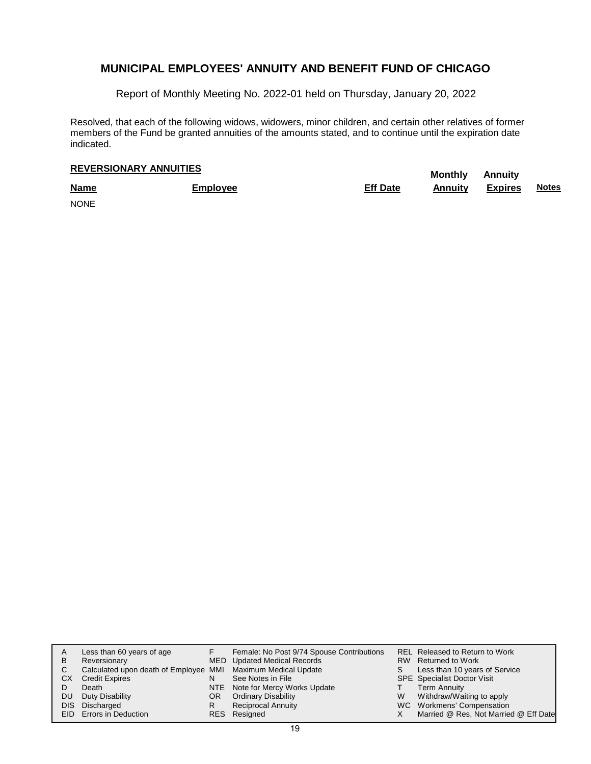Report of Monthly Meeting No. 2022-01 held on Thursday, January 20, 2022

Resolved, that each of the following widows, widowers, minor children, and certain other relatives of former members of the Fund be granted annuities of the amounts stated, and to continue until the expiration date indicated.

# **Monthly Annuity REVERSIONARY ANNUITIES**

| <b>Name</b> | <b>Employee</b> | <b>Eff Date</b> | <b>Annuity</b> | <b>Expires</b> | <b>Notes</b> |
|-------------|-----------------|-----------------|----------------|----------------|--------------|
| <b>NONE</b> |                 |                 |                |                |              |

| A<br>B<br>СX<br><b>DU</b> | Less than 60 years of age<br>Reversionary<br>Calculated upon death of Employee MMI Maximum Medical Update<br><b>Credit Expires</b><br>Death<br>Duty Disability<br>DIS Discharged | OR. | Female: No Post 9/74 Spouse Contributions<br>MED Updated Medical Records<br>See Notes in File<br>NTE Note for Mercy Works Update<br><b>Ordinary Disability</b><br><b>Reciprocal Annuity</b> | W | REL Released to Return to Work<br>RW Returned to Work<br>Less than 10 years of Service<br><b>SPE</b> Specialist Doctor Visit<br><b>Term Annuity</b><br>Withdraw/Waiting to apply<br>WC Workmens' Compensation |
|---------------------------|----------------------------------------------------------------------------------------------------------------------------------------------------------------------------------|-----|---------------------------------------------------------------------------------------------------------------------------------------------------------------------------------------------|---|---------------------------------------------------------------------------------------------------------------------------------------------------------------------------------------------------------------|
|                           | EID Errors in Deduction                                                                                                                                                          |     | RES Resigned                                                                                                                                                                                |   | Married @ Res, Not Married @ Eff Date                                                                                                                                                                         |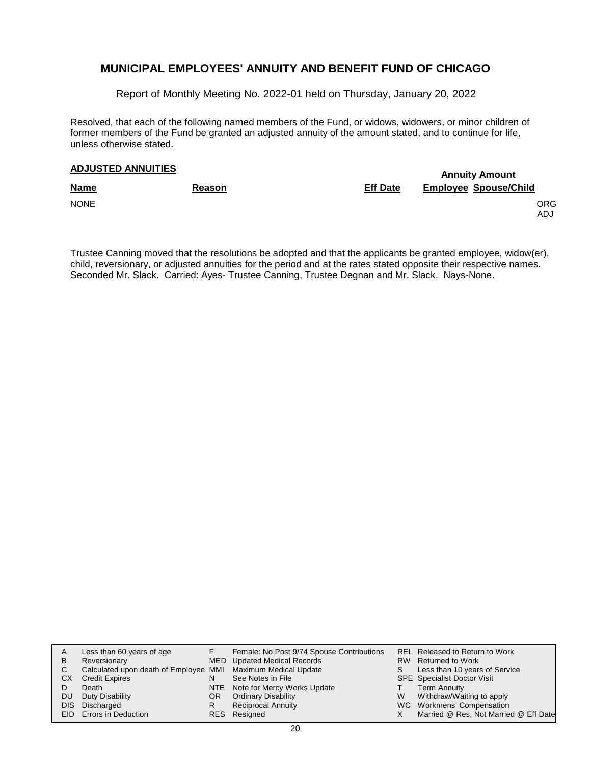Report of Monthly Meeting No. 2022-01 held on Thursday, January 20, 2022

Resolved, that each of the following named members of the Fund, or widows, widowers, or minor children of former members of the Fund be granted an adjusted annuity of the amount stated, and to continue for life, unless otherwise stated.

# **Annuity Amount ADJUSTED ANNUITIES**

| <b>Name</b> | <b>Reason</b> | <b>Eff Date</b> | <b>Employee Spouse/Child</b> |
|-------------|---------------|-----------------|------------------------------|
| <b>NONE</b> |               |                 | ORG<br>ADJ                   |

Trustee Canning moved that the resolutions be adopted and that the applicants be granted employee, widow(er), child, reversionary, or adjusted annuities for the period and at the rates stated opposite their respective names. Seconded Mr. Slack. Carried: Ayes- Trustee Canning, Trustee Degnan and Mr. Slack. Nays-None.

| A   | Less than 60 years of age                                    |     | Female: No Post 9/74 Spouse Contributions |   | REL Released to Return to Work        |
|-----|--------------------------------------------------------------|-----|-------------------------------------------|---|---------------------------------------|
| B   | Reversionary                                                 |     | MED Updated Medical Records               |   | RW Returned to Work                   |
| C   | Calculated upon death of Employee MMI Maximum Medical Update |     |                                           |   | Less than 10 years of Service         |
| CX. | <b>Credit Expires</b>                                        | N   | See Notes in File                         |   | <b>SPE</b> Specialist Doctor Visit    |
|     | Death                                                        |     | NTE Note for Mercy Works Update           |   | Term Annuity                          |
| DU. | Duty Disability                                              | OR. | <b>Ordinary Disability</b>                | W | Withdraw/Waiting to apply             |
|     | DIS Discharged                                               | R   | Reciprocal Annuity                        |   | WC Workmens' Compensation             |
|     | EID Errors in Deduction                                      |     | RES Resigned                              |   | Married @ Res, Not Married @ Eff Date |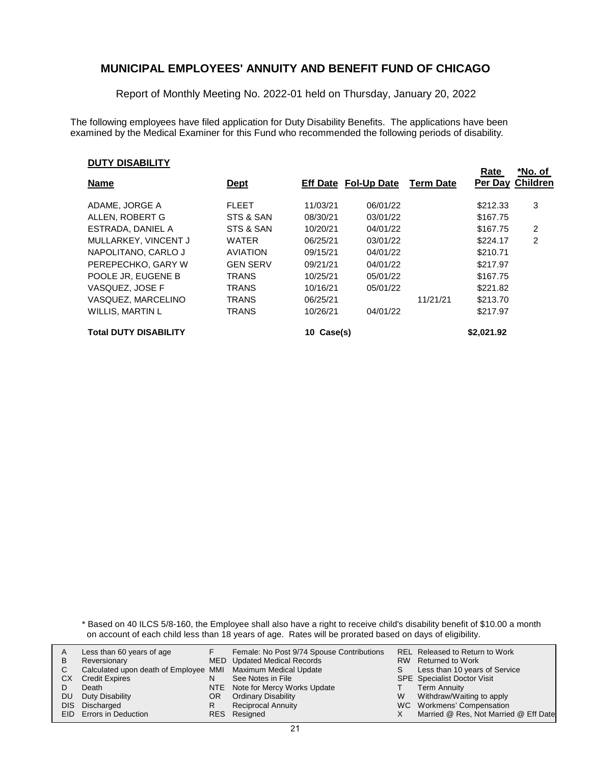Report of Monthly Meeting No. 2022-01 held on Thursday, January 20, 2022

The following employees have filed application for Duty Disability Benefits. The applications have been examined by the Medical Examiner for this Fund who recommended the following periods of disability.

#### **DUTY DISABILITY**

|                              |                 |            |                      |                  | Rate       | *No. of          |
|------------------------------|-----------------|------------|----------------------|------------------|------------|------------------|
| <b>Name</b>                  | <u>Dept</u>     |            | Eff Date Fol-Up Date | <b>Term Date</b> |            | Per Day Children |
| ADAME, JORGE A               | <b>FLEET</b>    | 11/03/21   | 06/01/22             |                  | \$212.33   | 3                |
| ALLEN, ROBERT G              | STS & SAN       | 08/30/21   | 03/01/22             |                  | \$167.75   |                  |
| ESTRADA, DANIEL A            | STS & SAN       | 10/20/21   | 04/01/22             |                  | \$167.75   | $\overline{2}$   |
| MULLARKEY, VINCENT J         | <b>WATER</b>    | 06/25/21   | 03/01/22             |                  | \$224.17   | 2                |
| NAPOLITANO, CARLO J          | <b>AVIATION</b> | 09/15/21   | 04/01/22             |                  | \$210.71   |                  |
| PEREPECHKO, GARY W           | <b>GEN SERV</b> | 09/21/21   | 04/01/22             |                  | \$217.97   |                  |
| POOLE JR. EUGENE B           | <b>TRANS</b>    | 10/25/21   | 05/01/22             |                  | \$167.75   |                  |
| VASQUEZ, JOSE F              | <b>TRANS</b>    | 10/16/21   | 05/01/22             |                  | \$221.82   |                  |
| VASQUEZ, MARCELINO           | <b>TRANS</b>    | 06/25/21   |                      | 11/21/21         | \$213.70   |                  |
| WILLIS, MARTIN L             | <b>TRANS</b>    | 10/26/21   | 04/01/22             |                  | \$217.97   |                  |
| <b>Total DUTY DISABILITY</b> |                 | 10 Case(s) |                      |                  | \$2.021.92 |                  |

\* Based on 40 ILCS 5/8-160, the Employee shall also have a right to receive child's disability benefit of \$10.00 a month on account of each child less than 18 years of age. Rates will be prorated based on days of eligibility.

|     | Less than 60 years of age                                    |     | Female: No Post 9/74 Spouse Contributions |   | REL Released to Return to Work        |
|-----|--------------------------------------------------------------|-----|-------------------------------------------|---|---------------------------------------|
| В   | Reversionary                                                 |     | MED Updated Medical Records               |   | RW Returned to Work                   |
|     | Calculated upon death of Employee MMI Maximum Medical Update |     |                                           |   | Less than 10 years of Service         |
| CХ  | <b>Credit Expires</b>                                        |     | See Notes in File                         |   | <b>SPE</b> Specialist Doctor Visit    |
|     | Death                                                        |     | NTE Note for Mercy Works Update           |   | Term Annuity                          |
| DU. | Duty Disability                                              | OR. | <b>Ordinary Disability</b>                | W | Withdraw/Waiting to apply             |
|     | DIS Discharged                                               |     | <b>Reciprocal Annuity</b>                 |   | WC Workmens' Compensation             |
|     | <b>EID</b> Errors in Deduction                               |     | RES Resigned                              |   | Married @ Res, Not Married @ Eff Date |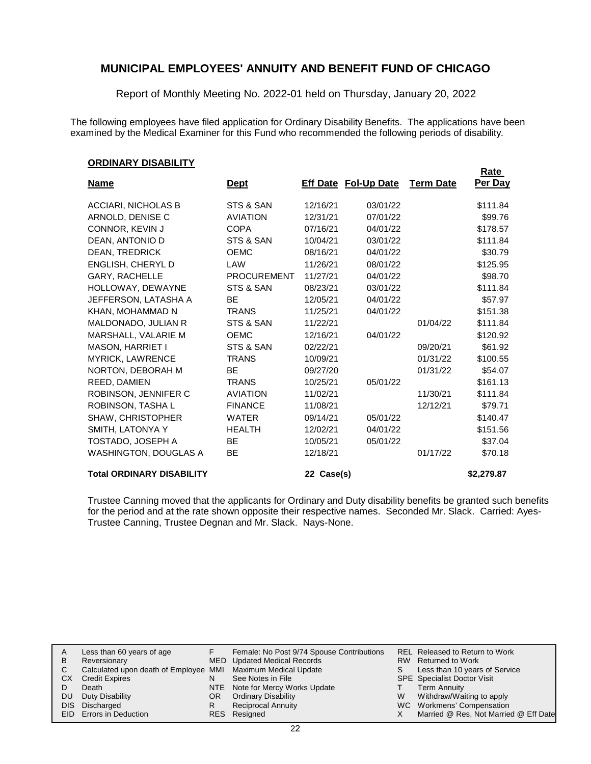Report of Monthly Meeting No. 2022-01 held on Thursday, January 20, 2022

The following employees have filed application for Ordinary Disability Benefits. The applications have been examined by the Medical Examiner for this Fund who recommended the following periods of disability.

#### **ORDINARY DISABILITY**

|                                  |                    |            |                             |                  | <b>Rate</b> |
|----------------------------------|--------------------|------------|-----------------------------|------------------|-------------|
| <b>Name</b>                      | <b>Dept</b>        |            | <b>Eff Date Fol-Up Date</b> | <b>Term Date</b> | Per Day     |
| ACCIARI, NICHOLAS B              | STS & SAN          | 12/16/21   | 03/01/22                    |                  | \$111.84    |
| ARNOLD, DENISE C                 | <b>AVIATION</b>    | 12/31/21   | 07/01/22                    |                  | \$99.76     |
| CONNOR, KEVIN J                  | <b>COPA</b>        | 07/16/21   | 04/01/22                    |                  | \$178.57    |
| DEAN. ANTONIO D                  | STS & SAN          | 10/04/21   | 03/01/22                    |                  | \$111.84    |
| <b>DEAN, TREDRICK</b>            | <b>OEMC</b>        | 08/16/21   | 04/01/22                    |                  | \$30.79     |
| ENGLISH, CHERYL D                | LAW                | 11/26/21   | 08/01/22                    |                  | \$125.95    |
| <b>GARY, RACHELLE</b>            | <b>PROCUREMENT</b> | 11/27/21   | 04/01/22                    |                  | \$98.70     |
| HOLLOWAY, DEWAYNE                | STS & SAN          | 08/23/21   | 03/01/22                    |                  | \$111.84    |
| JEFFERSON, LATASHA A             | <b>BE</b>          | 12/05/21   | 04/01/22                    |                  | \$57.97     |
| KHAN, MOHAMMAD N                 | <b>TRANS</b>       | 11/25/21   | 04/01/22                    |                  | \$151.38    |
| MALDONADO, JULIAN R              | STS & SAN          | 11/22/21   |                             | 01/04/22         | \$111.84    |
| MARSHALL, VALARIE M              | <b>OEMC</b>        | 12/16/21   | 04/01/22                    |                  | \$120.92    |
| <b>MASON, HARRIET I</b>          | STS & SAN          | 02/22/21   |                             | 09/20/21         | \$61.92     |
| <b>MYRICK, LAWRENCE</b>          | <b>TRANS</b>       | 10/09/21   |                             | 01/31/22         | \$100.55    |
| NORTON, DEBORAH M                | <b>BE</b>          | 09/27/20   |                             | 01/31/22         | \$54.07     |
| REED, DAMIEN                     | <b>TRANS</b>       | 10/25/21   | 05/01/22                    |                  | \$161.13    |
| ROBINSON, JENNIFER C             | <b>AVIATION</b>    | 11/02/21   |                             | 11/30/21         | \$111.84    |
| ROBINSON, TASHA L                | <b>FINANCE</b>     | 11/08/21   |                             | 12/12/21         | \$79.71     |
| SHAW, CHRISTOPHER                | <b>WATER</b>       | 09/14/21   | 05/01/22                    |                  | \$140.47    |
| SMITH, LATONYA Y                 | <b>HEALTH</b>      | 12/02/21   | 04/01/22                    |                  | \$151.56    |
| TOSTADO, JOSEPH A                | <b>BE</b>          | 10/05/21   | 05/01/22                    |                  | \$37.04     |
| <b>WASHINGTON, DOUGLAS A</b>     | <b>BE</b>          | 12/18/21   |                             | 01/17/22         | \$70.18     |
| <b>Total ORDINARY DISABILITY</b> |                    | 22 Case(s) |                             |                  | \$2,279.87  |

Trustee Canning moved that the applicants for Ordinary and Duty disability benefits be granted such benefits for the period and at the rate shown opposite their respective names. Seconded Mr. Slack. Carried: Ayes-Trustee Canning, Trustee Degnan and Mr. Slack. Nays-None.

| A   | Less than 60 years of age                                    |     | Female: No Post 9/74 Spouse Contributions |   | REL Released to Return to Work        |
|-----|--------------------------------------------------------------|-----|-------------------------------------------|---|---------------------------------------|
| B   | Reversionary                                                 |     | MED Updated Medical Records               |   | RW Returned to Work                   |
|     | Calculated upon death of Employee MMI Maximum Medical Update |     |                                           |   | Less than 10 years of Service         |
| СX  | <b>Credit Expires</b>                                        |     | See Notes in File                         |   | <b>SPE</b> Specialist Doctor Visit    |
|     | Death                                                        |     | NTE Note for Mercy Works Update           |   | Term Annuity                          |
| DU. | Duty Disability                                              | OR. | <b>Ordinary Disability</b>                | W | Withdraw/Waiting to apply             |
|     | DIS Discharged                                               |     | <b>Reciprocal Annuity</b>                 |   | WC Workmens' Compensation             |
|     | EID Errors in Deduction                                      |     | RES Resigned                              |   | Married @ Res, Not Married @ Eff Date |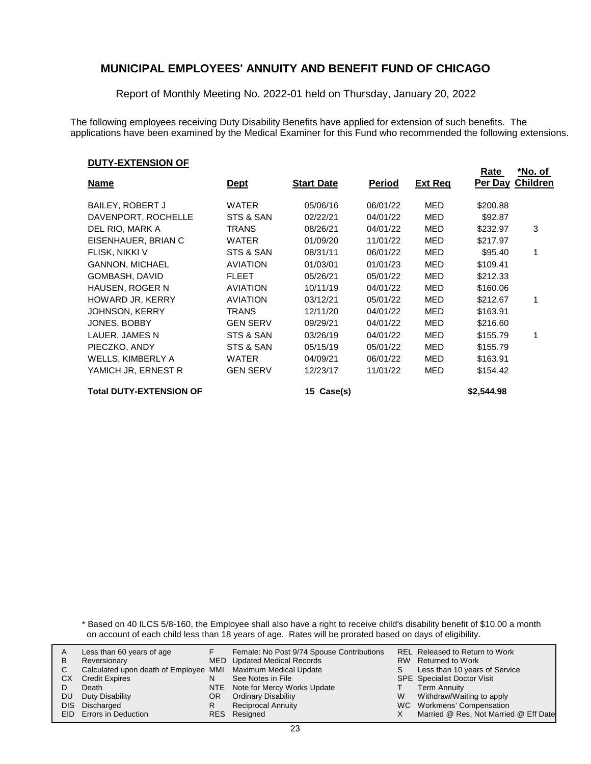Report of Monthly Meeting No. 2022-01 held on Thursday, January 20, 2022

The following employees receiving Duty Disability Benefits have applied for extension of such benefits. The applications have been examined by the Medical Examiner for this Fund who recommended the following extensions.

#### **DUTY-EXTENSION OF**

|                                |                 |                   |          |                | <u>Rate</u> | *No. of         |
|--------------------------------|-----------------|-------------------|----------|----------------|-------------|-----------------|
| <u>Name</u>                    | <u>Dept</u>     | <b>Start Date</b> | Period   | <b>Ext Req</b> | Per Day     | <b>Children</b> |
| <b>BAILEY, ROBERT J</b>        | <b>WATER</b>    | 05/06/16          | 06/01/22 | MED            | \$200.88    |                 |
| DAVENPORT, ROCHELLE            | STS & SAN       | 02/22/21          | 04/01/22 | MED            | \$92.87     |                 |
| DEL RIO, MARK A                | TRANS           | 08/26/21          | 04/01/22 | MED            | \$232.97    | 3               |
| EISENHAUER, BRIAN C            | <b>WATER</b>    | 01/09/20          | 11/01/22 | MED            | \$217.97    |                 |
| FLISK, NIKKI V                 | STS & SAN       | 08/31/11          | 06/01/22 | MED            | \$95.40     | 1               |
| <b>GANNON, MICHAEL</b>         | <b>AVIATION</b> | 01/03/01          | 01/01/23 | MED            | \$109.41    |                 |
| GOMBASH, DAVID                 | <b>FLEET</b>    | 05/26/21          | 05/01/22 | MED            | \$212.33    |                 |
| <b>HAUSEN, ROGER N</b>         | <b>AVIATION</b> | 10/11/19          | 04/01/22 | MED            | \$160.06    |                 |
| HOWARD JR, KERRY               | <b>AVIATION</b> | 03/12/21          | 05/01/22 | MED            | \$212.67    | 1               |
| <b>JOHNSON, KERRY</b>          | TRANS           | 12/11/20          | 04/01/22 | MED            | \$163.91    |                 |
| JONES, BOBBY                   | <b>GEN SERV</b> | 09/29/21          | 04/01/22 | MED            | \$216.60    |                 |
| LAUER, JAMES N                 | STS & SAN       | 03/26/19          | 04/01/22 | MED            | \$155.79    | 1               |
| PIECZKO, ANDY                  | STS & SAN       | 05/15/19          | 05/01/22 | MED            | \$155.79    |                 |
| <b>WELLS, KIMBERLY A</b>       | <b>WATER</b>    | 04/09/21          | 06/01/22 | MED            | \$163.91    |                 |
| YAMICH JR, ERNEST R            | <b>GEN SERV</b> | 12/23/17          | 11/01/22 | MED            | \$154.42    |                 |
| <b>Total DUTY-EXTENSION OF</b> |                 | Case(s)<br>15     |          |                | \$2.544.98  |                 |

\* Based on 40 ILCS 5/8-160, the Employee shall also have a right to receive child's disability benefit of \$10.00 a month on account of each child less than 18 years of age. Rates will be prorated based on days of eligibility.

| В  | Less than 60 years of age<br>Reversionary                    |     | Female: No Post 9/74 Spouse Contributions<br>MED Updated Medical Records |   | REL Released to Return to Work<br>RW Returned to Work |
|----|--------------------------------------------------------------|-----|--------------------------------------------------------------------------|---|-------------------------------------------------------|
|    | Calculated upon death of Employee MMI Maximum Medical Update |     |                                                                          |   | Less than 10 years of Service                         |
| CХ | <b>Credit Expires</b>                                        |     | See Notes in File                                                        |   | <b>SPE</b> Specialist Doctor Visit                    |
|    | Death                                                        |     | NTE Note for Mercy Works Update                                          |   | Term Annuity                                          |
| DU | Duty Disability                                              | OR. | <b>Ordinary Disability</b>                                               | W | Withdraw/Waiting to apply                             |
|    | DIS Discharged                                               |     | <b>Reciprocal Annuity</b>                                                |   | WC Workmens' Compensation                             |
|    | <b>EID</b> Errors in Deduction                               |     | RES Resigned                                                             |   | Married @ Res, Not Married @ Eff Date                 |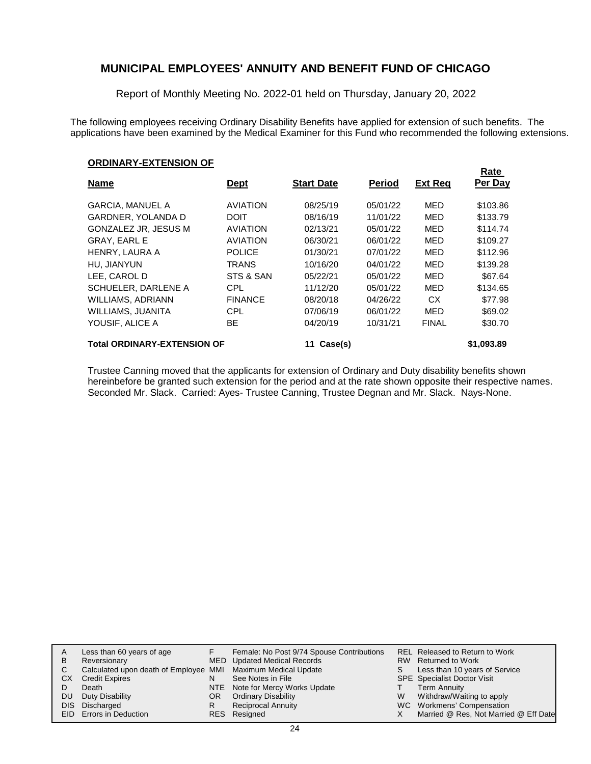Report of Monthly Meeting No. 2022-01 held on Thursday, January 20, 2022

The following employees receiving Ordinary Disability Benefits have applied for extension of such benefits. The applications have been examined by the Medical Examiner for this Fund who recommended the following extensions.

#### **ORDINARY-EXTENSION OF**

|                                    |                 |                   |               |                | Rate       |
|------------------------------------|-----------------|-------------------|---------------|----------------|------------|
| <b>Name</b>                        | <u>Dept</u>     | <b>Start Date</b> | <b>Period</b> | <b>Ext Reg</b> | Per Day    |
| <b>GARCIA, MANUEL A</b>            | <b>AVIATION</b> | 08/25/19          | 05/01/22      | <b>MED</b>     | \$103.86   |
| <b>GARDNER, YOLANDA D</b>          | <b>DOIT</b>     | 08/16/19          | 11/01/22      | <b>MED</b>     | \$133.79   |
| <b>GONZALEZ JR, JESUS M</b>        | <b>AVIATION</b> | 02/13/21          | 05/01/22      | <b>MED</b>     | \$114.74   |
| <b>GRAY, EARL E</b>                | <b>AVIATION</b> | 06/30/21          | 06/01/22      | <b>MED</b>     | \$109.27   |
| HENRY, LAURA A                     | <b>POLICE</b>   | 01/30/21          | 07/01/22      | <b>MED</b>     | \$112.96   |
| HU. JIANYUN                        | <b>TRANS</b>    | 10/16/20          | 04/01/22      | <b>MED</b>     | \$139.28   |
| LEE, CAROL D                       | STS & SAN       | 05/22/21          | 05/01/22      | <b>MED</b>     | \$67.64    |
| SCHUELER, DARLENE A                | <b>CPL</b>      | 11/12/20          | 05/01/22      | MED            | \$134.65   |
| WILLIAMS, ADRIANN                  | <b>FINANCE</b>  | 08/20/18          | 04/26/22      | CX.            | \$77.98    |
| WILLIAMS, JUANITA                  | CPL             | 07/06/19          | 06/01/22      | MED            | \$69.02    |
| YOUSIF. ALICE A                    | ВE              | 04/20/19          | 10/31/21      | <b>FINAL</b>   | \$30.70    |
| <b>Total ORDINARY-EXTENSION OF</b> |                 | Case(s)<br>11     |               |                | \$1,093.89 |

Trustee Canning moved that the applicants for extension of Ordinary and Duty disability benefits shown hereinbefore be granted such extension for the period and at the rate shown opposite their respective names. Seconded Mr. Slack. Carried: Ayes- Trustee Canning, Trustee Degnan and Mr. Slack. Nays-None.

|     | Less than 60 years of age                                    |     | Female: No Post 9/74 Spouse Contributions |   | REL Released to Return to Work        |
|-----|--------------------------------------------------------------|-----|-------------------------------------------|---|---------------------------------------|
| B   | Reversionary                                                 |     | MED Updated Medical Records               |   | RW Returned to Work                   |
| C.  | Calculated upon death of Employee MMI Maximum Medical Update |     |                                           |   | Less than 10 years of Service         |
| CХ  | <b>Credit Expires</b>                                        | N   | See Notes in File                         |   | <b>SPE</b> Specialist Doctor Visit    |
|     | Death                                                        |     | NTE Note for Mercy Works Update           |   | Term Annuity                          |
| DU. | Duty Disability                                              | OR. | <b>Ordinary Disability</b>                | W | Withdraw/Waiting to apply             |
|     | DIS Discharged                                               |     | <b>Reciprocal Annuity</b>                 |   | WC Workmens' Compensation             |
|     | <b>EID</b> Errors in Deduction                               |     | RES Resigned                              |   | Married @ Res, Not Married @ Eff Date |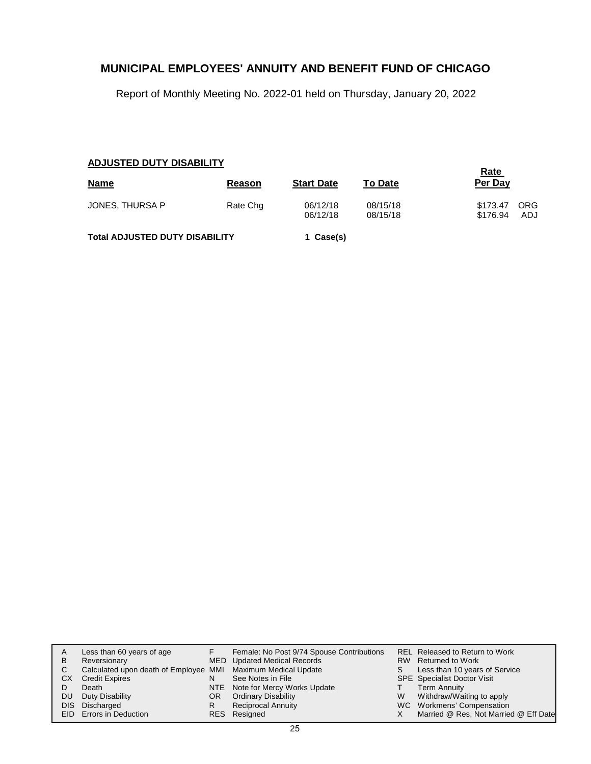Report of Monthly Meeting No. 2022-01 held on Thursday, January 20, 2022

### **ADJUSTED DUTY DISABILITY**

| <b>Name</b>                           | Reason   | <b>Start Date</b>    | <b>To Date</b>       | <u>Rate</u><br>Per Day                           |
|---------------------------------------|----------|----------------------|----------------------|--------------------------------------------------|
| JONES, THURSA P                       | Rate Chg | 06/12/18<br>06/12/18 | 08/15/18<br>08/15/18 | \$173.47<br><b>ORG</b><br>\$176.94<br><b>ADJ</b> |
| <b>Total ADJUSTED DUTY DISABILITY</b> |          | 1 Case(s)            |                      |                                                  |

| В         | Less than 60 years of age<br>Reversionary                    |     | Female: No Post 9/74 Spouse Contributions<br>MED Updated Medical Records |   | <b>REL Released to Return to Work</b><br>RW Returned to Work |
|-----------|--------------------------------------------------------------|-----|--------------------------------------------------------------------------|---|--------------------------------------------------------------|
| C.        | Calculated upon death of Employee MMI Maximum Medical Update |     |                                                                          |   | Less than 10 years of Service                                |
| CХ        | <b>Credit Expires</b>                                        |     | See Notes in File                                                        |   | <b>SPE</b> Specialist Doctor Visit                           |
|           | Death                                                        |     | NTE Note for Mercy Works Update                                          |   | <b>Term Annuity</b>                                          |
| <b>DU</b> | Duty Disability                                              | OR. | <b>Ordinary Disability</b>                                               | W | Withdraw/Waiting to apply                                    |
|           | DIS Discharged                                               | R   | <b>Reciprocal Annuity</b>                                                |   | WC Workmens' Compensation                                    |
|           | EID Errors in Deduction                                      |     | RES Resigned                                                             |   | Married @ Res, Not Married @ Eff Date                        |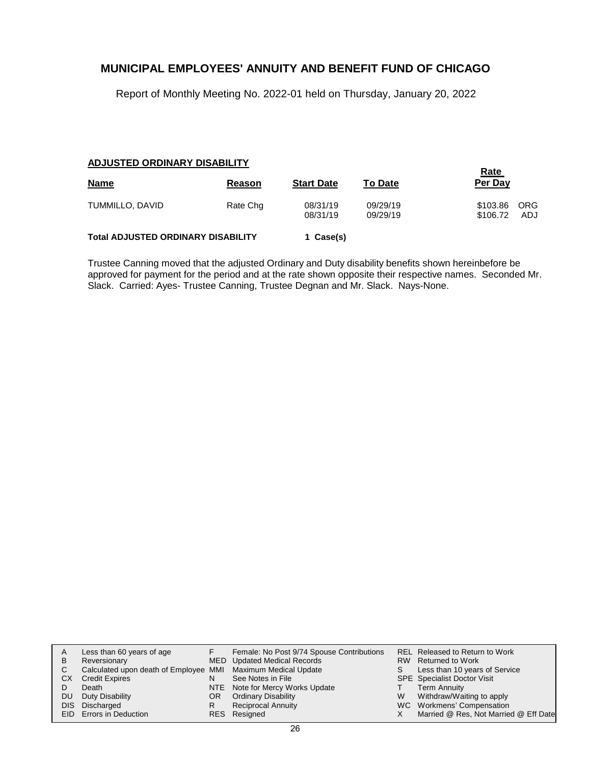Report of Monthly Meeting No. 2022-01 held on Thursday, January 20, 2022

#### **ADJUSTED ORDINARY DISABILITY**

| <b>Name</b>                               | Reason   | <b>Start Date</b>    | <b>To Date</b>       | <b>Rate</b><br>Per Day |                   |
|-------------------------------------------|----------|----------------------|----------------------|------------------------|-------------------|
| TUMMILLO, DAVID                           | Rate Chg | 08/31/19<br>08/31/19 | 09/29/19<br>09/29/19 | \$103.86<br>\$106.72   | <b>ORG</b><br>ADJ |
| <b>Total ADJUSTED ORDINARY DISABILITY</b> |          | 1 Case(s)            |                      |                        |                   |

Trustee Canning moved that the adjusted Ordinary and Duty disability benefits shown hereinbefore be approved for payment for the period and at the rate shown opposite their respective names. Seconded Mr. Slack. Carried: Ayes- Trustee Canning, Trustee Degnan and Mr. Slack. Nays-None.

| A   | Less than 60 years of age                                    |     | Female: No Post 9/74 Spouse Contributions |   | <b>REL Released to Return to Work</b> |
|-----|--------------------------------------------------------------|-----|-------------------------------------------|---|---------------------------------------|
| B   | Reversionary                                                 |     | MED Updated Medical Records               |   | RW Returned to Work                   |
|     | Calculated upon death of Employee MMI Maximum Medical Update |     |                                           |   | Less than 10 years of Service         |
| CX. | <b>Credit Expires</b>                                        | N   | See Notes in File                         |   | <b>SPE</b> Specialist Doctor Visit    |
|     | Death                                                        |     | NTE Note for Mercy Works Update           |   | Term Annuity                          |
| DU. | Duty Disability                                              | OR. | <b>Ordinary Disability</b>                | W | Withdraw/Waiting to apply             |
|     | DIS Discharged                                               |     | <b>Reciprocal Annuity</b>                 |   | WC Workmens' Compensation             |
|     | EID Errors in Deduction                                      |     | RES Resigned                              |   | Married @ Res, Not Married @ Eff Date |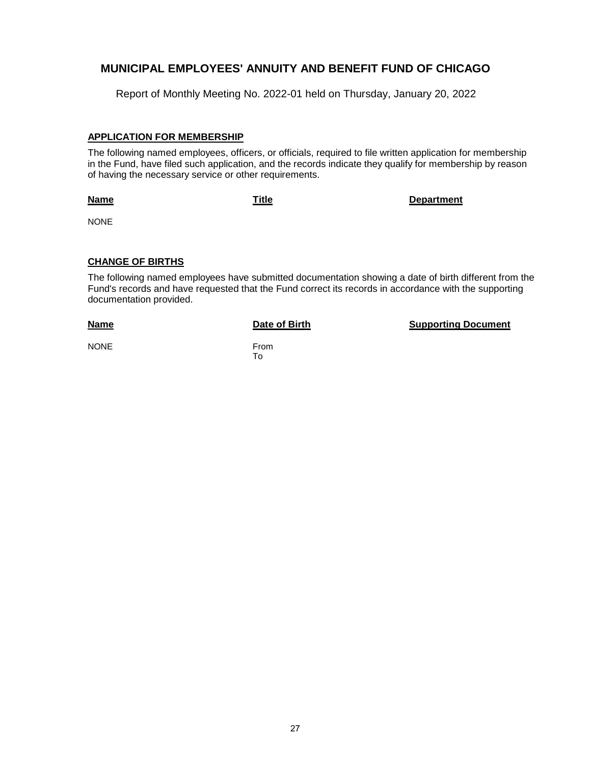Report of Monthly Meeting No. 2022-01 held on Thursday, January 20, 2022

#### **APPLICATION FOR MEMBERSHIP**

The following named employees, officers, or officials, required to file written application for membership in the Fund, have filed such application, and the records indicate they qualify for membership by reason of having the necessary service or other requirements.

**Name**

**Title Department**

NONE

#### **CHANGE OF BIRTHS**

The following named employees have submitted documentation showing a date of birth different from the Fund's records and have requested that the Fund correct its records in accordance with the supporting documentation provided.

#### **Name**

From To

**Date of Birth Supporting Document** 

NONE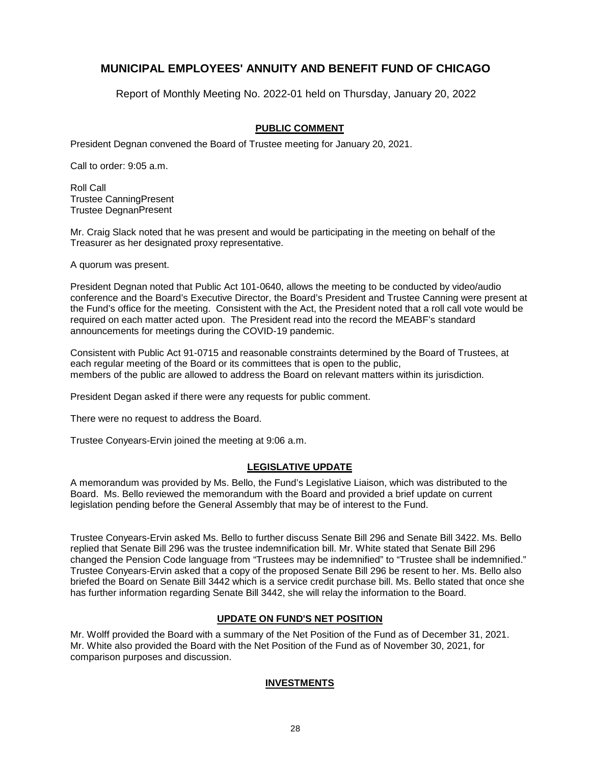Report of Monthly Meeting No. 2022-01 held on Thursday, January 20, 2022

### **PUBLIC COMMENT**

President Degnan convened the Board of Trustee meeting for January 20, 2021.

Call to order: 9:05 a.m.

Roll Call Trustee CanningPresent Trustee DegnanPresent

Mr. Craig Slack noted that he was present and would be participating in the meeting on behalf of the Treasurer as her designated proxy representative.

A quorum was present.

President Degnan noted that Public Act 101-0640, allows the meeting to be conducted by video/audio conference and the Board's Executive Director, the Board's President and Trustee Canning were present at the Fund's office for the meeting. Consistent with the Act, the President noted that a roll call vote would be required on each matter acted upon. The President read into the record the MEABF's standard announcements for meetings during the COVID-19 pandemic.

Consistent with Public Act 91-0715 and reasonable constraints determined by the Board of Trustees, at each regular meeting of the Board or its committees that is open to the public, members of the public are allowed to address the Board on relevant matters within its jurisdiction.

President Degan asked if there were any requests for public comment.

There were no request to address the Board.

Trustee Conyears-Ervin joined the meeting at 9:06 a.m.

### **LEGISLATIVE UPDATE**

A memorandum was provided by Ms. Bello, the Fund's Legislative Liaison, which was distributed to the Board. Ms. Bello reviewed the memorandum with the Board and provided a brief update on current legislation pending before the General Assembly that may be of interest to the Fund.

Trustee Conyears-Ervin asked Ms. Bello to further discuss Senate Bill 296 and Senate Bill 3422. Ms. Bello replied that Senate Bill 296 was the trustee indemnification bill. Mr. White stated that Senate Bill 296 changed the Pension Code language from "Trustees may be indemnified" to "Trustee shall be indemnified." Trustee Conyears-Ervin asked that a copy of the proposed Senate Bill 296 be resent to her. Ms. Bello also briefed the Board on Senate Bill 3442 which is a service credit purchase bill. Ms. Bello stated that once she has further information regarding Senate Bill 3442, she will relay the information to the Board.

### **UPDATE ON FUND'S NET POSITION**

Mr. Wolff provided the Board with a summary of the Net Position of the Fund as of December 31, 2021. Mr. White also provided the Board with the Net Position of the Fund as of November 30, 2021, for comparison purposes and discussion.

### **INVESTMENTS**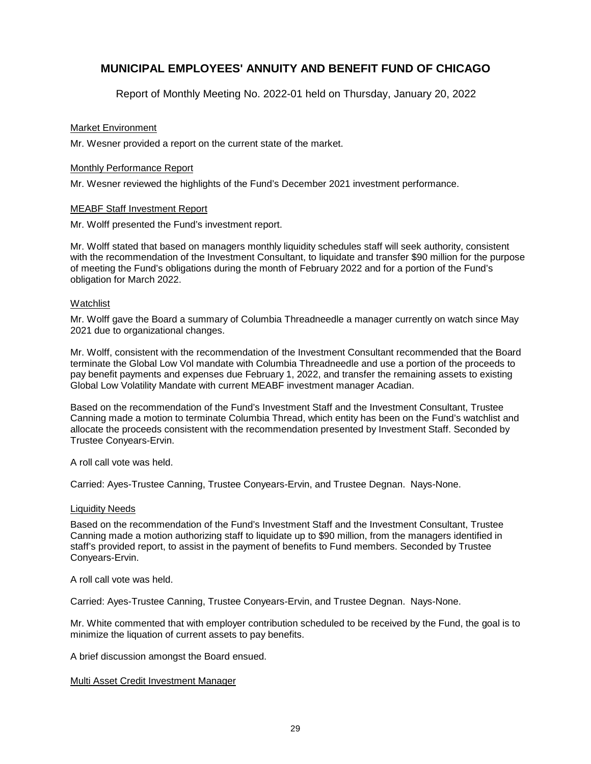Report of Monthly Meeting No. 2022-01 held on Thursday, January 20, 2022

#### Market Environment

Mr. Wesner provided a report on the current state of the market.

#### Monthly Performance Report

Mr. Wesner reviewed the highlights of the Fund's December 2021 investment performance.

#### MEABF Staff Investment Report

Mr. Wolff presented the Fund's investment report.

Mr. Wolff stated that based on managers monthly liquidity schedules staff will seek authority, consistent with the recommendation of the Investment Consultant, to liquidate and transfer \$90 million for the purpose of meeting the Fund's obligations during the month of February 2022 and for a portion of the Fund's obligation for March 2022.

#### **Watchlist**

Mr. Wolff gave the Board a summary of Columbia Threadneedle a manager currently on watch since May 2021 due to organizational changes.

Mr. Wolff, consistent with the recommendation of the Investment Consultant recommended that the Board terminate the Global Low Vol mandate with Columbia Threadneedle and use a portion of the proceeds to pay benefit payments and expenses due February 1, 2022, and transfer the remaining assets to existing Global Low Volatility Mandate with current MEABF investment manager Acadian.

Based on the recommendation of the Fund's Investment Staff and the Investment Consultant, Trustee Canning made a motion to terminate Columbia Thread, which entity has been on the Fund's watchlist and allocate the proceeds consistent with the recommendation presented by Investment Staff. Seconded by Trustee Conyears-Ervin.

A roll call vote was held.

Carried: Ayes-Trustee Canning, Trustee Conyears-Ervin, and Trustee Degnan. Nays-None.

#### Liquidity Needs

Based on the recommendation of the Fund's Investment Staff and the Investment Consultant, Trustee Canning made a motion authorizing staff to liquidate up to \$90 million, from the managers identified in staff's provided report, to assist in the payment of benefits to Fund members. Seconded by Trustee Conyears-Ervin.

A roll call vote was held.

Carried: Ayes-Trustee Canning, Trustee Conyears-Ervin, and Trustee Degnan. Nays-None.

Mr. White commented that with employer contribution scheduled to be received by the Fund, the goal is to minimize the liquation of current assets to pay benefits.

A brief discussion amongst the Board ensued.

#### Multi Asset Credit Investment Manager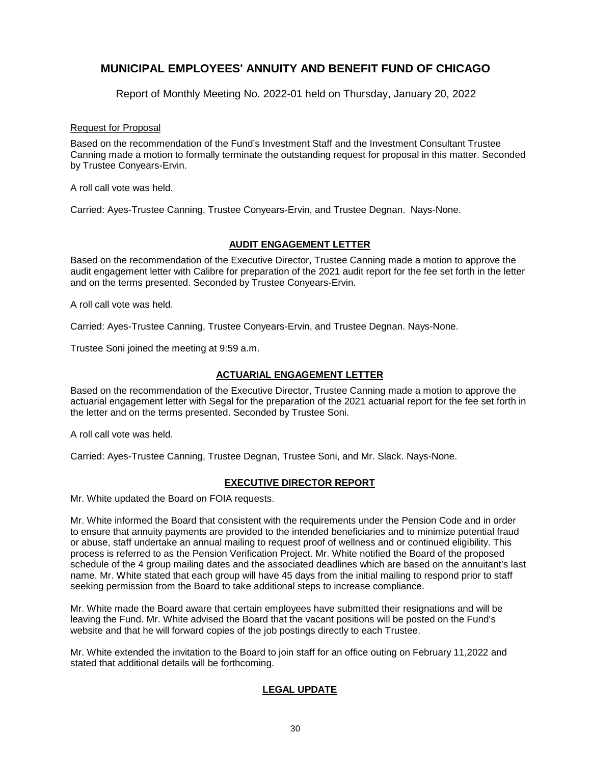Report of Monthly Meeting No. 2022-01 held on Thursday, January 20, 2022

#### Request for Proposal

Based on the recommendation of the Fund's Investment Staff and the Investment Consultant Trustee Canning made a motion to formally terminate the outstanding request for proposal in this matter. Seconded by Trustee Conyears-Ervin.

A roll call vote was held.

Carried: Ayes-Trustee Canning, Trustee Conyears-Ervin, and Trustee Degnan. Nays-None.

### **AUDIT ENGAGEMENT LETTER**

Based on the recommendation of the Executive Director, Trustee Canning made a motion to approve the audit engagement letter with Calibre for preparation of the 2021 audit report for the fee set forth in the letter and on the terms presented. Seconded by Trustee Conyears-Ervin.

A roll call vote was held.

Carried: Ayes-Trustee Canning, Trustee Conyears-Ervin, and Trustee Degnan. Nays-None.

Trustee Soni joined the meeting at 9:59 a.m.

### **ACTUARIAL ENGAGEMENT LETTER**

Based on the recommendation of the Executive Director, Trustee Canning made a motion to approve the actuarial engagement letter with Segal for the preparation of the 2021 actuarial report for the fee set forth in the letter and on the terms presented. Seconded by Trustee Soni.

A roll call vote was held.

Carried: Ayes-Trustee Canning, Trustee Degnan, Trustee Soni, and Mr. Slack. Nays-None.

### **EXECUTIVE DIRECTOR REPORT**

Mr. White updated the Board on FOIA requests.

Mr. White informed the Board that consistent with the requirements under the Pension Code and in order to ensure that annuity payments are provided to the intended beneficiaries and to minimize potential fraud or abuse, staff undertake an annual mailing to request proof of wellness and or continued eligibility. This process is referred to as the Pension Verification Project. Mr. White notified the Board of the proposed schedule of the 4 group mailing dates and the associated deadlines which are based on the annuitant's last name. Mr. White stated that each group will have 45 days from the initial mailing to respond prior to staff seeking permission from the Board to take additional steps to increase compliance.

Mr. White made the Board aware that certain employees have submitted their resignations and will be leaving the Fund. Mr. White advised the Board that the vacant positions will be posted on the Fund's website and that he will forward copies of the job postings directly to each Trustee.

Mr. White extended the invitation to the Board to join staff for an office outing on February 11,2022 and stated that additional details will be forthcoming.

### **LEGAL UPDATE**